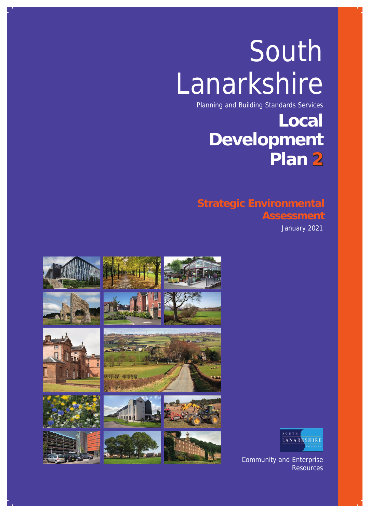# South Lanarkshire

Planning and Building Standards Services

# **Local Development Plan 2**

# **Strategic Environmental Assessment**

January 2021





Community and Enterprise Resources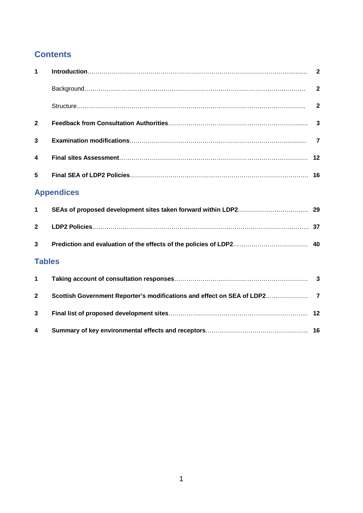# **Contents**

| $\mathbf{1}$   |                   |                |
|----------------|-------------------|----------------|
|                |                   | $\overline{2}$ |
|                |                   | $\mathbf{2}$   |
| $\mathbf{2}$   |                   | $\overline{3}$ |
| 3              |                   | 7              |
| 4              |                   |                |
| 5              |                   |                |
|                | <b>Appendices</b> |                |
| 1              |                   |                |
| $\mathbf 2$    |                   |                |
| 3              |                   |                |
| <b>Tables</b>  |                   |                |
| 1              |                   |                |
| $\overline{2}$ |                   |                |
| 3              |                   |                |
| 4              |                   |                |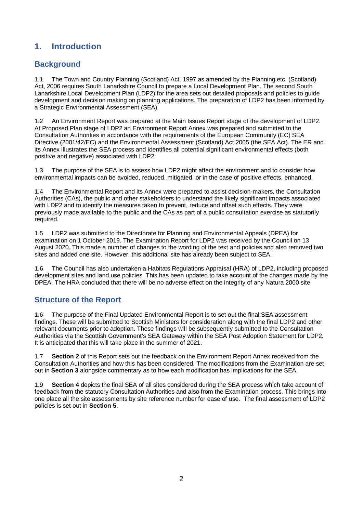### **1. Introduction**

#### **Background**

1.1 The Town and Country Planning (Scotland) Act, 1997 as amended by the Planning etc. (Scotland) Act, 2006 requires South Lanarkshire Council to prepare a Local Development Plan. The second South Lanarkshire Local Development Plan (LDP2) for the area sets out detailed proposals and policies to guide development and decision making on planning applications. The preparation of LDP2 has been informed by a Strategic Environmental Assessment (SEA).

1.2 An Environment Report was prepared at the Main Issues Report stage of the development of LDP2. At Proposed Plan stage of LDP2 an Environment Report Annex was prepared and submitted to the Consultation Authorities in accordance with the requirements of the European Community (EC) SEA Directive (2001/42/EC) and the Environmental Assessment (Scotland) Act 2005 (the SEA Act). The ER and its Annex illustrates the SEA process and identifies all potential significant environmental effects (both positive and negative) associated with LDP2.

1.3 The purpose of the SEA is to assess how LDP2 might affect the environment and to consider how environmental impacts can be avoided, reduced, mitigated, or in the case of positive effects, enhanced.

1.4 The Environmental Report and its Annex were prepared to assist decision-makers, the Consultation Authorities (CAs), the public and other stakeholders to understand the likely significant impacts associated with LDP2 and to identify the measures taken to prevent, reduce and offset such effects. They were previously made available to the public and the CAs as part of a public consultation exercise as statutorily required.

1.5 LDP2 was submitted to the Directorate for Planning and Environmental Appeals (DPEA) for examination on 1 October 2019. The Examination Report for LDP2 was received by the Council on 13 August 2020. This made a number of changes to the wording of the text and policies and also removed two sites and added one site. However, this additional site has already been subject to SEA.

1.6 The Council has also undertaken a Habitats Regulations Appraisal (HRA) of LDP2, including proposed development sites and land use policies. This has been updated to take account of the changes made by the DPEA. The HRA concluded that there will be no adverse effect on the integrity of any Natura 2000 site.

#### **Structure of the Report**

1.6 The purpose of the Final Updated Environmental Report is to set out the final SEA assessment findings. These will be submitted to Scottish Ministers for consideration along with the final LDP2 and other relevant documents prior to adoption. These findings will be subsequently submitted to the Consultation Authorities via the Scottish Government's SEA Gateway within the SEA Post Adoption Statement for LDP2. It is anticipated that this will take place in the summer of 2021.

1.7 **Section 2** of this Report sets out the feedback on the Environment Report Annex received from the Consultation Authorities and how this has been considered. The modifications from the Examination are set out in **Section 3** alongside commentary as to how each modification has implications for the SEA.

1.9 **Section 4** depicts the final SEA of all sites considered during the SEA process which take account of feedback from the statutory Consultation Authorities and also from the Examination process. This brings into one place all the site assessments by site reference number for ease of use. The final assessment of LDP2 policies is set out in **Section 5**.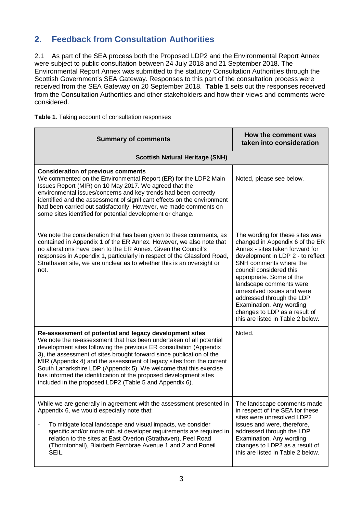# **2. Feedback from Consultation Authorities**

2.1 As part of the SEA process both the Proposed LDP2 and the Environmental Report Annex were subject to public consultation between 24 July 2018 and 21 September 2018. The Environmental Report Annex was submitted to the statutory Consultation Authorities through the Scottish Government's SEA Gateway. Responses to this part of the consultation process were received from the SEA Gateway on 20 September 2018. **Table 1** sets out the responses received from the Consultation Authorities and other stakeholders and how their views and comments were considered.

| <b>Summary of comments</b>                                                                                                                                                                                                                                                                                                                                                                                                                                                                                                                                | How the comment was<br>taken into consideration                                                                                                                                                                                                                                                                                                                                                                     |
|-----------------------------------------------------------------------------------------------------------------------------------------------------------------------------------------------------------------------------------------------------------------------------------------------------------------------------------------------------------------------------------------------------------------------------------------------------------------------------------------------------------------------------------------------------------|---------------------------------------------------------------------------------------------------------------------------------------------------------------------------------------------------------------------------------------------------------------------------------------------------------------------------------------------------------------------------------------------------------------------|
| <b>Scottish Natural Heritage (SNH)</b>                                                                                                                                                                                                                                                                                                                                                                                                                                                                                                                    |                                                                                                                                                                                                                                                                                                                                                                                                                     |
| <b>Consideration of previous comments</b><br>We commented on the Environmental Report (ER) for the LDP2 Main<br>Issues Report (MIR) on 10 May 2017. We agreed that the<br>environmental issues/concerns and key trends had been correctly<br>identified and the assessment of significant effects on the environment<br>had been carried out satisfactorily. However, we made comments on<br>some sites identified for potential development or change.                                                                                                   | Noted, please see below.                                                                                                                                                                                                                                                                                                                                                                                            |
| We note the consideration that has been given to these comments, as<br>contained in Appendix 1 of the ER Annex. However, we also note that<br>no alterations have been to the ER Annex. Given the Council's<br>responses in Appendix 1, particularly in respect of the Glassford Road,<br>Strathaven site, we are unclear as to whether this is an oversight or<br>not.                                                                                                                                                                                   | The wording for these sites was<br>changed in Appendix 6 of the ER<br>Annex - sites taken forward for<br>development in LDP 2 - to reflect<br>SNH comments where the<br>council considered this<br>appropriate. Some of the<br>landscape comments were<br>unresolved issues and were<br>addressed through the LDP<br>Examination. Any wording<br>changes to LDP as a result of<br>this are listed in Table 2 below. |
| Re-assessment of potential and legacy development sites<br>We note the re-assessment that has been undertaken of all potential<br>development sites following the previous ER consultation (Appendix<br>3), the assessment of sites brought forward since publication of the<br>MIR (Appendix 4) and the assessment of legacy sites from the current<br>South Lanarkshire LDP (Appendix 5). We welcome that this exercise<br>has informed the identification of the proposed development sites<br>included in the proposed LDP2 (Table 5 and Appendix 6). | Noted.                                                                                                                                                                                                                                                                                                                                                                                                              |
| While we are generally in agreement with the assessment presented in<br>Appendix 6, we would especially note that:<br>To mitigate local landscape and visual impacts, we consider<br>$\blacksquare$<br>specific and/or more robust developer requirements are required in<br>relation to the sites at East Overton (Strathaven), Peel Road<br>(Thorntonhall), Blairbeth Fernbrae Avenue 1 and 2 and Poneil<br>SEIL.                                                                                                                                       | The landscape comments made<br>in respect of the SEA for these<br>sites were unresolved LDP2<br>issues and were, therefore,<br>addressed through the LDP<br>Examination. Any wording<br>changes to LDP2 as a result of<br>this are listed in Table 2 below.                                                                                                                                                         |

**Table 1**. Taking account of consultation responses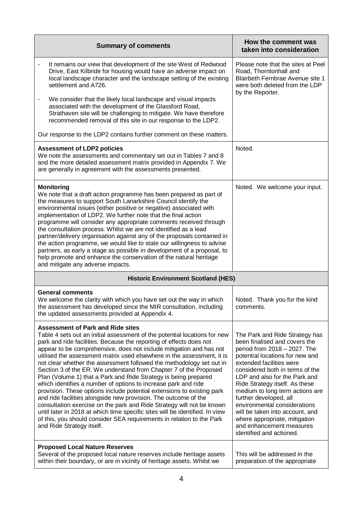| <b>Summary of comments</b>                                                                                                                                                                                                                                                                                                                                                                                                                                                                                                                                                                                                                                                                                                                                                                                                                                                                                                                                                                                                                  | How the comment was<br>taken into consideration                                                                                                                                                                                                                                                                                                                                                                                                                                               |  |
|---------------------------------------------------------------------------------------------------------------------------------------------------------------------------------------------------------------------------------------------------------------------------------------------------------------------------------------------------------------------------------------------------------------------------------------------------------------------------------------------------------------------------------------------------------------------------------------------------------------------------------------------------------------------------------------------------------------------------------------------------------------------------------------------------------------------------------------------------------------------------------------------------------------------------------------------------------------------------------------------------------------------------------------------|-----------------------------------------------------------------------------------------------------------------------------------------------------------------------------------------------------------------------------------------------------------------------------------------------------------------------------------------------------------------------------------------------------------------------------------------------------------------------------------------------|--|
| It remains our view that development of the site West of Redwood<br>$\overline{\phantom{a}}$<br>Drive, East Kilbride for housing would have an adverse impact on<br>local landscape character and the landscape setting of the existing<br>settlement and A726.                                                                                                                                                                                                                                                                                                                                                                                                                                                                                                                                                                                                                                                                                                                                                                             | Please note that the sites at Peel<br>Road, Thorntonhall and<br>Blairbeth Fernbrae Avenue site 1<br>were both deleted from the LDP<br>by the Reporter.                                                                                                                                                                                                                                                                                                                                        |  |
| We consider that the likely local landscape and visual impacts<br>associated with the development of the Glassford Road,<br>Strathaven site will be challenging to mitigate. We have therefore<br>recommended removal of this site in our response to the LDP2.                                                                                                                                                                                                                                                                                                                                                                                                                                                                                                                                                                                                                                                                                                                                                                             |                                                                                                                                                                                                                                                                                                                                                                                                                                                                                               |  |
| Our response to the LDP2 contains further comment on these matters.                                                                                                                                                                                                                                                                                                                                                                                                                                                                                                                                                                                                                                                                                                                                                                                                                                                                                                                                                                         |                                                                                                                                                                                                                                                                                                                                                                                                                                                                                               |  |
| <b>Assessment of LDP2 policies</b><br>We note the assessments and commentary set out in Tables 7 and 8<br>and the more detailed assessment matrix provided in Appendix 7. We<br>are generally in agreement with the assessments presented.                                                                                                                                                                                                                                                                                                                                                                                                                                                                                                                                                                                                                                                                                                                                                                                                  | Noted.                                                                                                                                                                                                                                                                                                                                                                                                                                                                                        |  |
| <b>Monitoring</b><br>We note that a draft action programme has been prepared as part of<br>the measures to support South Lanarkshire Council identify the<br>environmental issues (either positive or negative) associated with<br>implementation of LDP2. We further note that the final action<br>programme will consider any appropriate comments received through<br>the consultation process. Whilst we are not identified as a lead<br>partner/delivery organisation against any of the proposals contained in<br>the action programme, we would like to state our willingness to advise<br>partners, as early a stage as possible in development of a proposal, to<br>help promote and enhance the conservation of the natural heritage<br>and mitigate any adverse impacts.                                                                                                                                                                                                                                                         | Noted. We welcome your input.                                                                                                                                                                                                                                                                                                                                                                                                                                                                 |  |
| <b>Historic Environment Scotland (HES)</b>                                                                                                                                                                                                                                                                                                                                                                                                                                                                                                                                                                                                                                                                                                                                                                                                                                                                                                                                                                                                  |                                                                                                                                                                                                                                                                                                                                                                                                                                                                                               |  |
| <b>General comments</b><br>We welcome the clarity with which you have set out the way in which<br>the assessment has developed since the MIR consultation, including<br>the updated assessments provided at Appendix 4.                                                                                                                                                                                                                                                                                                                                                                                                                                                                                                                                                                                                                                                                                                                                                                                                                     | Noted. Thank you for the kind<br>comments.                                                                                                                                                                                                                                                                                                                                                                                                                                                    |  |
| <b>Assessment of Park and Ride sites</b><br>Table 4 sets out an initial assessment of the potential locations for new<br>park and ride facilities. Because the reporting of effects does not<br>appear to be comprehensive, does not include mitigation and has not<br>utilised the assessment matrix used elsewhere in the assessment, it is<br>not clear whether the assessment followed the methodology set out in<br>Section 3 of the ER. We understand from Chapter 7 of the Proposed<br>Plan (Volume 1) that a Park and Ride Strategy is being prepared<br>which identifies a number of options to increase park and ride<br>provision. These options include potential extensions to existing park<br>and ride facilities alongside new provision. The outcome of the<br>consultation exercise on the park and Ride Strategy will not be known<br>until later in 2018 at which time specific sites will be identified. In view<br>of this, you should consider SEA requirements in relation to the Park<br>and Ride Strategy itself. | The Park and Ride Strategy has<br>been finalised and covers the<br>period from 2018 - 2027. The<br>potential locations for new and<br>extended facilities were<br>considered both in terms of the<br>LDP and also for the Park and<br>Ride Strategy itself. As these<br>medium to long term actions are<br>further developed, all<br>environmental considerations<br>will be taken into account, and<br>where appropriate, mitigation<br>and enhancement measures<br>identified and actioned. |  |
| <b>Proposed Local Nature Reserves</b><br>Several of the proposed local nature reserves include heritage assets<br>within their boundary, or are in vicinity of heritage assets. Whilst we                                                                                                                                                                                                                                                                                                                                                                                                                                                                                                                                                                                                                                                                                                                                                                                                                                                   | This will be addressed in the<br>preparation of the appropriate                                                                                                                                                                                                                                                                                                                                                                                                                               |  |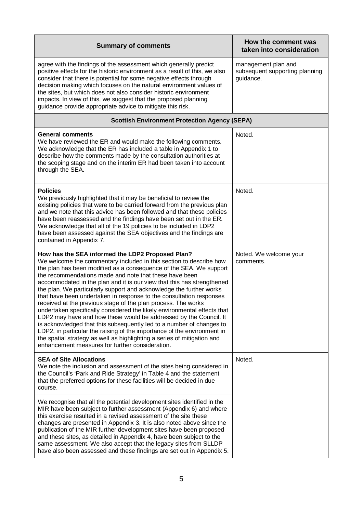| <b>Summary of comments</b>                                                                                                                                                                                                                                                                                                                                                                                                                                                                                                                                                                                                                                                                                                                                                                                                                                                                                                                                                        | How the comment was<br>taken into consideration                    |
|-----------------------------------------------------------------------------------------------------------------------------------------------------------------------------------------------------------------------------------------------------------------------------------------------------------------------------------------------------------------------------------------------------------------------------------------------------------------------------------------------------------------------------------------------------------------------------------------------------------------------------------------------------------------------------------------------------------------------------------------------------------------------------------------------------------------------------------------------------------------------------------------------------------------------------------------------------------------------------------|--------------------------------------------------------------------|
| agree with the findings of the assessment which generally predict<br>positive effects for the historic environment as a result of this, we also<br>consider that there is potential for some negative effects through<br>decision making which focuses on the natural environment values of<br>the sites, but which does not also consider historic environment<br>impacts. In view of this, we suggest that the proposed planning<br>guidance provide appropriate advice to mitigate this risk.                                                                                                                                                                                                                                                                                                                                                                                                                                                                                  | management plan and<br>subsequent supporting planning<br>guidance. |
| <b>Scottish Environment Protection Agency (SEPA)</b>                                                                                                                                                                                                                                                                                                                                                                                                                                                                                                                                                                                                                                                                                                                                                                                                                                                                                                                              |                                                                    |
| <b>General comments</b><br>We have reviewed the ER and would make the following comments.<br>We acknowledge that the ER has included a table in Appendix 1 to<br>describe how the comments made by the consultation authorities at<br>the scoping stage and on the interim ER had been taken into account<br>through the SEA.                                                                                                                                                                                                                                                                                                                                                                                                                                                                                                                                                                                                                                                     | Noted.                                                             |
| <b>Policies</b><br>We previously highlighted that it may be beneficial to review the<br>existing policies that were to be carried forward from the previous plan<br>and we note that this advice has been followed and that these policies<br>have been reassessed and the findings have been set out in the ER.<br>We acknowledge that all of the 19 policies to be included in LDP2<br>have been assessed against the SEA objectives and the findings are<br>contained in Appendix 7.                                                                                                                                                                                                                                                                                                                                                                                                                                                                                           | Noted.                                                             |
| How has the SEA informed the LDP2 Proposed Plan?<br>We welcome the commentary included in this section to describe how<br>the plan has been modified as a consequence of the SEA. We support<br>the recommendations made and note that these have been<br>accommodated in the plan and it is our view that this has strengthened<br>the plan. We particularly support and acknowledge the further works<br>that have been undertaken in response to the consultation responses<br>received at the previous stage of the plan process. The works<br>undertaken specifically considered the likely environmental effects that<br>LDP2 may have and how these would be addressed by the Council. It<br>is acknowledged that this subsequently led to a number of changes to<br>LDP2, in particular the raising of the importance of the environment in<br>the spatial strategy as well as highlighting a series of mitigation and<br>enhancement measures for further consideration. | Noted. We welcome your<br>comments.                                |
| <b>SEA of Site Allocations</b><br>We note the inclusion and assessment of the sites being considered in<br>the Council's 'Park and Ride Strategy' in Table 4 and the statement<br>that the preferred options for these facilities will be decided in due<br>course.                                                                                                                                                                                                                                                                                                                                                                                                                                                                                                                                                                                                                                                                                                               | Noted.                                                             |
| We recognise that all the potential development sites identified in the<br>MIR have been subject to further assessment (Appendix 6) and where<br>this exercise resulted in a revised assessment of the site these<br>changes are presented in Appendix 3. It is also noted above since the<br>publication of the MIR further development sites have been proposed<br>and these sites, as detailed in Appendix 4, have been subject to the<br>same assessment. We also accept that the legacy sites from SLLDP<br>have also been assessed and these findings are set out in Appendix 5.                                                                                                                                                                                                                                                                                                                                                                                            |                                                                    |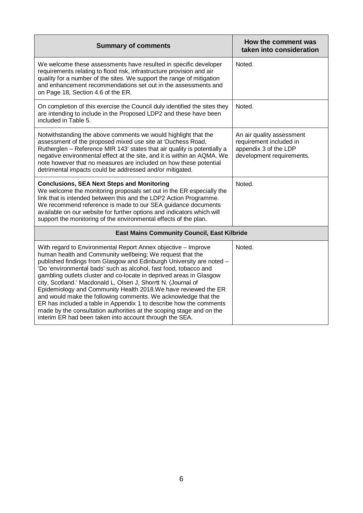| <b>Summary of comments</b>                                                                                                                                                                                                                                                                                                                                                                                                                                                                                                                                                                                                                                                                                                                                   | How the comment was<br>taken into consideration                                                            |
|--------------------------------------------------------------------------------------------------------------------------------------------------------------------------------------------------------------------------------------------------------------------------------------------------------------------------------------------------------------------------------------------------------------------------------------------------------------------------------------------------------------------------------------------------------------------------------------------------------------------------------------------------------------------------------------------------------------------------------------------------------------|------------------------------------------------------------------------------------------------------------|
| We welcome these assessments have resulted in specific developer<br>requirements relating to flood risk, infrastructure provision and air<br>quality for a number of the sites. We support the range of mitigation<br>and enhancement recommendations set out in the assessments and<br>on Page 18, Section 4.6 of the ER.                                                                                                                                                                                                                                                                                                                                                                                                                                   | Noted.                                                                                                     |
| On completion of this exercise the Council duly identified the sites they<br>are intending to include in the Proposed LDP2 and these have been<br>included in Table 5.                                                                                                                                                                                                                                                                                                                                                                                                                                                                                                                                                                                       | Noted.                                                                                                     |
| Notwithstanding the above comments we would highlight that the<br>assessment of the proposed mixed use site at 'Duchess Road,<br>Rutherglen - Reference MIR 143' states that air quality is potentially a<br>negative environmental effect at the site, and it is within an AQMA. We<br>note however that no measures are included on how these potential<br>detrimental impacts could be addressed and/or mitigated.                                                                                                                                                                                                                                                                                                                                        | An air quality assessment<br>requirement included in<br>appendix 3 of the LDP<br>development requirements. |
| <b>Conclusions, SEA Next Steps and Monitoring</b><br>We welcome the monitoring proposals set out in the ER especially the<br>link that is intended between this and the LDP2 Action Programme.<br>We recommend reference is made to our SEA guidance documents<br>available on our website for further options and indicators which will<br>support the monitoring of the environmental effects of the plan.                                                                                                                                                                                                                                                                                                                                                 | Noted.                                                                                                     |
| <b>East Mains Community Council, East Kilbride</b>                                                                                                                                                                                                                                                                                                                                                                                                                                                                                                                                                                                                                                                                                                           |                                                                                                            |
| With regard to Environmental Report Annex objective - Improve<br>human health and Community wellbeing; We request that the<br>published findings from Glasgow and Edinburgh University are noted -<br>'Do 'environmental bads' such as alcohol, fast food, tobacco and<br>gambling outlets cluster and co-locate in deprived areas in Glasgow<br>city, Scotland.' Macdonald L, Olsen J, Shorrtt N. (Journal of<br>Epidemiology and Community Health 2018. We have reviewed the ER<br>and would make the following comments. We acknowledge that the<br>ER has included a table in Appendix 1 to describe how the comments<br>made by the consultation authorities at the scoping stage and on the<br>interim ER had been taken into account through the SEA. | Noted.                                                                                                     |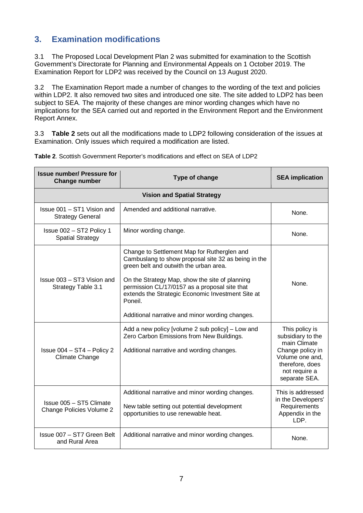### **3. Examination modifications**

3.1 The Proposed Local Development Plan 2 was submitted for examination to the Scottish Government's Directorate for Planning and Environmental Appeals on 1 October 2019. The Examination Report for LDP2 was received by the Council on 13 August 2020.

3.2 The Examination Report made a number of changes to the wording of the text and policies within LDP2. It also removed two sites and introduced one site. The site added to LDP2 has been subject to SEA. The majority of these changes are minor wording changes which have no implications for the SEA carried out and reported in the Environment Report and the Environment Report Annex.

3.3 **Table 2** sets out all the modifications made to LDP2 following consideration of the issues at Examination. Only issues which required a modification are listed.

| <b>Issue number/ Pressure for</b><br><b>Change number</b>                                                                                                                                           | Type of change                                                                                                                                                                                                                                                                                                                                                     | <b>SEA implication</b>                                                                                                                          |  |  |  |
|-----------------------------------------------------------------------------------------------------------------------------------------------------------------------------------------------------|--------------------------------------------------------------------------------------------------------------------------------------------------------------------------------------------------------------------------------------------------------------------------------------------------------------------------------------------------------------------|-------------------------------------------------------------------------------------------------------------------------------------------------|--|--|--|
|                                                                                                                                                                                                     | <b>Vision and Spatial Strategy</b>                                                                                                                                                                                                                                                                                                                                 |                                                                                                                                                 |  |  |  |
| Issue 001 - ST1 Vision and<br><b>Strategy General</b>                                                                                                                                               | Amended and additional narrative.                                                                                                                                                                                                                                                                                                                                  | None.                                                                                                                                           |  |  |  |
| Issue 002 - ST2 Policy 1<br><b>Spatial Strategy</b>                                                                                                                                                 | Minor wording change.                                                                                                                                                                                                                                                                                                                                              | None.                                                                                                                                           |  |  |  |
| Issue 003 - ST3 Vision and<br>Strategy Table 3.1                                                                                                                                                    | Change to Settlement Map for Rutherglen and<br>Cambuslang to show proposal site 32 as being in the<br>green belt and outwith the urban area.<br>On the Strategy Map, show the site of planning<br>permission CL/17/0157 as a proposal site that<br>extends the Strategic Economic Investment Site at<br>Poneil.<br>Additional narrative and minor wording changes. | None.                                                                                                                                           |  |  |  |
| Add a new policy [volume 2 sub policy] - Low and<br>Zero Carbon Emissions from New Buildings.<br>Issue $004 - ST4 - Policy 2$<br>Additional narrative and wording changes.<br><b>Climate Change</b> |                                                                                                                                                                                                                                                                                                                                                                    | This policy is<br>subsidiary to the<br>main Climate<br>Change policy in<br>Volume one and,<br>therefore, does<br>not require a<br>separate SEA. |  |  |  |
| Issue 005 - ST5 Climate<br>Change Policies Volume 2                                                                                                                                                 | Additional narrative and minor wording changes.<br>New table setting out potential development<br>opportunities to use renewable heat.                                                                                                                                                                                                                             | This is addressed<br>in the Developers'<br>Requirements<br>Appendix in the<br>LDP.                                                              |  |  |  |
| Issue 007 - ST7 Green Belt<br>and Rural Area                                                                                                                                                        | Additional narrative and minor wording changes.                                                                                                                                                                                                                                                                                                                    | None.                                                                                                                                           |  |  |  |

**Table 2**. Scottish Government Reporter's modifications and effect on SEA of LDP2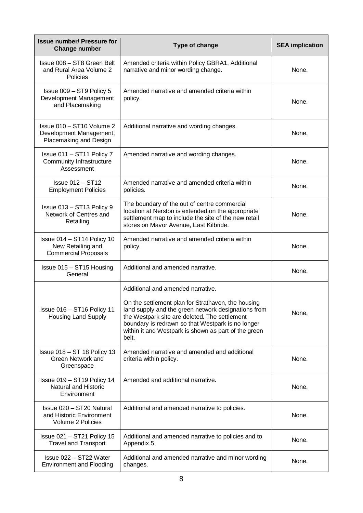| <b>Issue number/ Pressure for</b><br><b>Change number</b>                      | Type of change                                                                                                                                                                                                                                                                                                        | <b>SEA implication</b> |
|--------------------------------------------------------------------------------|-----------------------------------------------------------------------------------------------------------------------------------------------------------------------------------------------------------------------------------------------------------------------------------------------------------------------|------------------------|
| Issue 008 - ST8 Green Belt<br>and Rural Area Volume 2<br>Policies              | Amended criteria within Policy GBRA1. Additional<br>narrative and minor wording change.                                                                                                                                                                                                                               | None.                  |
| Issue 009 - ST9 Policy 5<br>Development Management<br>and Placemaking          | Amended narrative and amended criteria within<br>policy.                                                                                                                                                                                                                                                              | None.                  |
| Issue 010 - ST10 Volume 2<br>Development Management,<br>Placemaking and Design | Additional narrative and wording changes.                                                                                                                                                                                                                                                                             | None.                  |
| Issue 011 - ST11 Policy 7<br>Community Infrastructure<br>Assessment            | Amended narrative and wording changes.                                                                                                                                                                                                                                                                                | None.                  |
| $Is sue 012 - ST12$<br><b>Employment Policies</b>                              | Amended narrative and amended criteria within<br>policies.                                                                                                                                                                                                                                                            | None.                  |
| Issue 013 - ST13 Policy 9<br>Network of Centres and<br>Retailing               | The boundary of the out of centre commercial<br>location at Nerston is extended on the appropriate<br>settlement map to include the site of the new retail<br>stores on Mavor Avenue, East Kilbride.                                                                                                                  | None.                  |
| Issue 014 - ST14 Policy 10<br>New Retailing and<br><b>Commercial Proposals</b> | Amended narrative and amended criteria within<br>policy.                                                                                                                                                                                                                                                              | None.                  |
| Issue 015 - ST15 Housing<br>General                                            | Additional and amended narrative.                                                                                                                                                                                                                                                                                     | None.                  |
| Issue 016 - ST16 Policy 11<br><b>Housing Land Supply</b>                       | Additional and amended narrative.<br>On the settlement plan for Strathaven, the housing<br>land supply and the green network designations from<br>the Westpark site are deleted. The settlement<br>boundary is redrawn so that Westpark is no longer<br>within it and Westpark is shown as part of the green<br>belt. | None.                  |
| Issue 018 - ST 18 Policy 13<br>Green Network and<br>Greenspace                 | Amended narrative and amended and additional<br>criteria within policy.                                                                                                                                                                                                                                               | None.                  |
| Issue 019 - ST19 Policy 14<br>Natural and Historic<br>Environment              | Amended and additional narrative.                                                                                                                                                                                                                                                                                     | None.                  |
| Issue 020 - ST20 Natural<br>and Historic Environment<br>Volume 2 Policies      | Additional and amended narrative to policies.                                                                                                                                                                                                                                                                         | None.                  |
| Issue $021 - ST21$ Policy 15<br><b>Travel and Transport</b>                    | Additional and amended narrative to policies and to<br>Appendix 5.                                                                                                                                                                                                                                                    | None.                  |
| Issue 022 - ST22 Water<br><b>Environment and Flooding</b>                      | Additional and amended narrative and minor wording<br>changes.                                                                                                                                                                                                                                                        | None.                  |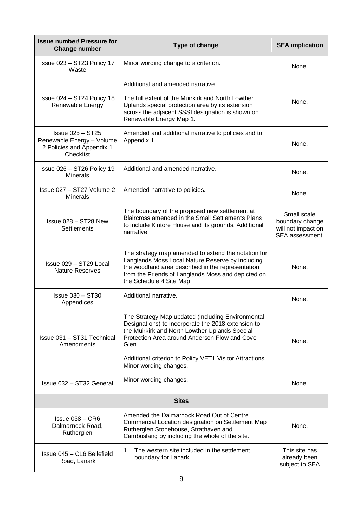| <b>Issue number/ Pressure for</b><br><b>Change number</b>                                                                                                                                                               | Type of change                                                                                                                                                                                                                                                                                            |                                                                         |  |
|-------------------------------------------------------------------------------------------------------------------------------------------------------------------------------------------------------------------------|-----------------------------------------------------------------------------------------------------------------------------------------------------------------------------------------------------------------------------------------------------------------------------------------------------------|-------------------------------------------------------------------------|--|
| Issue 023 - ST23 Policy 17<br>Waste                                                                                                                                                                                     | Minor wording change to a criterion.                                                                                                                                                                                                                                                                      |                                                                         |  |
|                                                                                                                                                                                                                         | Additional and amended narrative.                                                                                                                                                                                                                                                                         |                                                                         |  |
| Issue 024 - ST24 Policy 18<br>Renewable Energy                                                                                                                                                                          | The full extent of the Muirkirk and North Lowther<br>Uplands special protection area by its extension<br>across the adjacent SSSI designation is shown on<br>Renewable Energy Map 1.                                                                                                                      | None.                                                                   |  |
| $Is sue 025 - ST25$<br>Renewable Energy - Volume<br>2 Policies and Appendix 1<br>Checklist                                                                                                                              | Amended and additional narrative to policies and to<br>Appendix 1.                                                                                                                                                                                                                                        | None.                                                                   |  |
| Issue $026 - ST26$ Policy 19<br><b>Minerals</b>                                                                                                                                                                         | Additional and amended narrative.                                                                                                                                                                                                                                                                         | None.                                                                   |  |
| Issue 027 - ST27 Volume 2<br><b>Minerals</b>                                                                                                                                                                            | Amended narrative to policies.                                                                                                                                                                                                                                                                            | None.                                                                   |  |
| The boundary of the proposed new settlement at<br>Blaircross amended in the Small Settlements Plans<br>Issue 028 - ST28 New<br>to include Kintore House and its grounds. Additional<br><b>Settlements</b><br>narrative. |                                                                                                                                                                                                                                                                                                           | Small scale<br>boundary change<br>will not impact on<br>SEA assessment. |  |
| Issue 029 - ST29 Local<br><b>Nature Reserves</b>                                                                                                                                                                        | The strategy map amended to extend the notation for<br>Langlands Moss Local Nature Reserve by including<br>the woodland area described in the representation<br>from the Friends of Langlands Moss and depicted on<br>the Schedule 4 Site Map.                                                            | None.                                                                   |  |
| <b>Issue 030 - ST30</b><br>Additional narrative.<br>Appendices                                                                                                                                                          |                                                                                                                                                                                                                                                                                                           | None.                                                                   |  |
| Issue 031 - ST31 Technical<br>Amendments                                                                                                                                                                                | The Strategy Map updated (including Environmental<br>Designations) to incorporate the 2018 extension to<br>the Muirkirk and North Lowther Uplands Special<br>Protection Area around Anderson Flow and Cove<br>Glen.<br>Additional criterion to Policy VET1 Visitor Attractions.<br>Minor wording changes. | None.                                                                   |  |
| Issue 032 - ST32 General                                                                                                                                                                                                | Minor wording changes.                                                                                                                                                                                                                                                                                    | None.                                                                   |  |
| <b>Sites</b>                                                                                                                                                                                                            |                                                                                                                                                                                                                                                                                                           |                                                                         |  |
| $Is sue 038 - CR6$<br>Dalmarnock Road,<br>Rutherglen                                                                                                                                                                    | Amended the Dalmarnock Road Out of Centre<br>Commercial Location designation on Settlement Map<br>Rutherglen Stonehouse, Strathaven and<br>Cambuslang by including the whole of the site.                                                                                                                 | None.                                                                   |  |
| The western site included in the settlement<br>1.<br>Issue 045 - CL6 Bellefield<br>boundary for Lanark.<br>Road, Lanark                                                                                                 |                                                                                                                                                                                                                                                                                                           | This site has<br>already been<br>subject to SEA                         |  |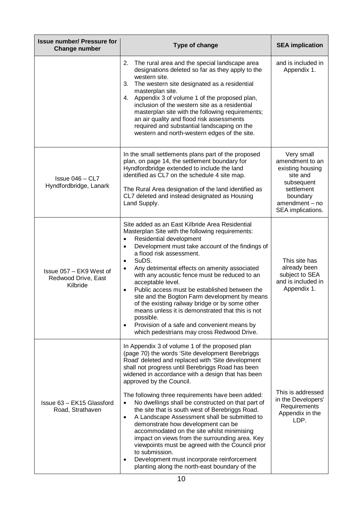| <b>Issue number/ Pressure for</b><br><b>Change number</b>  | Type of change                                                                                                                                                                                                                                                                                                                                                                                                                                                                                                                                                                                                                                                                                                                                                                                                                                  | <b>SEA implication</b>                                                                                                                         |
|------------------------------------------------------------|-------------------------------------------------------------------------------------------------------------------------------------------------------------------------------------------------------------------------------------------------------------------------------------------------------------------------------------------------------------------------------------------------------------------------------------------------------------------------------------------------------------------------------------------------------------------------------------------------------------------------------------------------------------------------------------------------------------------------------------------------------------------------------------------------------------------------------------------------|------------------------------------------------------------------------------------------------------------------------------------------------|
|                                                            | 2. The rural area and the special landscape area<br>designations deleted so far as they apply to the<br>western site.<br>The western site designated as a residential<br>3.<br>masterplan site.<br>Appendix 3 of volume 1 of the proposed plan,<br>4.<br>inclusion of the western site as a residential<br>masterplan site with the following requirements;<br>an air quality and flood risk assessments<br>required and substantial landscaping on the<br>western and north-western edges of the site.                                                                                                                                                                                                                                                                                                                                         | and is included in<br>Appendix 1.                                                                                                              |
| Issue $046 - CL7$<br>Hyndfordbridge, Lanark                | In the small settlements plans part of the proposed<br>plan, on page 14, the settlement boundary for<br>Hyndfordbridge extended to include the land<br>identified as CL7 on the schedule 4 site map.<br>The Rural Area designation of the land identified as<br>CL7 deleted and instead designated as Housing<br>Land Supply.                                                                                                                                                                                                                                                                                                                                                                                                                                                                                                                   | Very small<br>amendment to an<br>existing housing<br>site and<br>subsequent<br>settlement<br>boundary<br>$amendment - no$<br>SEA implications. |
| Issue 057 - EK9 West of<br>Redwood Drive, East<br>Kilbride | Site added as an East Kilbride Area Residential<br>Masterplan Site with the following requirements:<br>Residential development<br>$\bullet$<br>Development must take account of the findings of<br>$\bullet$<br>a flood risk assessment.<br>SuDS.<br>$\bullet$<br>Any detrimental effects on amenity associated<br>$\bullet$<br>with any acoustic fence must be reduced to an<br>acceptable level.<br>Public access must be established between the<br>$\bullet$<br>site and the Bogton Farm development by means<br>of the existing railway bridge or by some other<br>means unless it is demonstrated that this is not<br>possible.<br>Provision of a safe and convenient means by<br>which pedestrians may cross Redwood Drive.                                                                                                              | This site has<br>already been<br>subject to SEA<br>and is included in<br>Appendix 1.                                                           |
| Issue 63 - EK15 Glassford<br>Road, Strathaven              | In Appendix 3 of volume 1 of the proposed plan<br>(page 70) the words 'Site development Berebriggs<br>Road' deleted and replaced with 'Site development<br>shall not progress until Berebriggs Road has been<br>widened in accordance with a design that has been<br>approved by the Council.<br>The following three requirements have been added:<br>No dwellings shall be constructed on that part of<br>the site that is south west of Berebriggs Road.<br>A Landscape Assessment shall be submitted to<br>$\bullet$<br>demonstrate how development can be<br>accommodated on the site whilst minimising<br>impact on views from the surrounding area. Key<br>viewpoints must be agreed with the Council prior<br>to submission.<br>Development must incorporate reinforcement<br>$\bullet$<br>planting along the north-east boundary of the | This is addressed<br>in the Developers'<br>Requirements<br>Appendix in the<br>LDP.                                                             |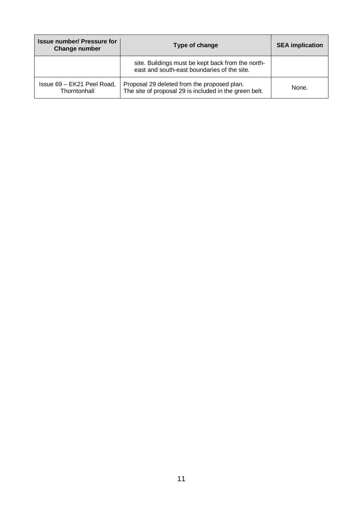| <b>Issue number/ Pressure for</b><br>Change number | Type of change                                                                                        | <b>SEA implication</b> |
|----------------------------------------------------|-------------------------------------------------------------------------------------------------------|------------------------|
|                                                    | site. Buildings must be kept back from the north-<br>east and south-east boundaries of the site.      |                        |
| Issue 69 - EK21 Peel Road,<br>Thorntonhall         | Proposal 29 deleted from the proposed plan.<br>The site of proposal 29 is included in the green belt. | None.                  |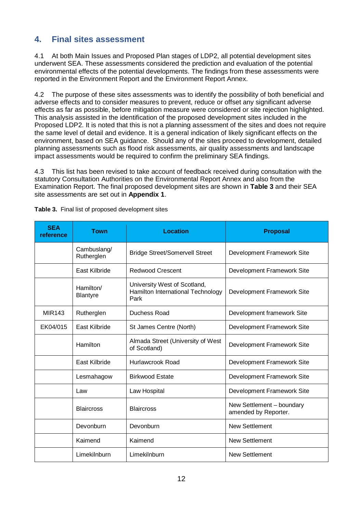## **4. Final sites assessment**

4.1 At both Main Issues and Proposed Plan stages of LDP2, all potential development sites underwent SEA. These assessments considered the prediction and evaluation of the potential environmental effects of the potential developments. The findings from these assessments were reported in the Environment Report and the Environment Report Annex.

4.2 The purpose of these sites assessments was to identify the possibility of both beneficial and adverse effects and to consider measures to prevent, reduce or offset any significant adverse effects as far as possible, before mitigation measure were considered or site rejection highlighted. This analysis assisted in the identification of the proposed development sites included in the Proposed LDP2. It is noted that this is not a planning assessment of the sites and does not require the same level of detail and evidence. It is a general indication of likely significant effects on the environment, based on SEA guidance. Should any of the sites proceed to development, detailed planning assessments such as flood risk assessments, air quality assessments and landscape impact assessments would be required to confirm the preliminary SEA findings.

4.3 This list has been revised to take account of feedback received during consultation with the statutory Consultation Authorities on the Environmental Report Annex and also from the Examination Report. The final proposed development sites are shown in **Table 3** and their SEA site assessments are set out in **Appendix 1**.

| <b>SEA</b><br>reference | Town                         | Location                                                                  | <b>Proposal</b>                                   |
|-------------------------|------------------------------|---------------------------------------------------------------------------|---------------------------------------------------|
|                         | Cambuslang/<br>Rutherglen    | <b>Bridge Street/Somervell Street</b>                                     | Development Framework Site                        |
|                         | East Kilbride                | <b>Redwood Crescent</b>                                                   | Development Framework Site                        |
|                         | Hamilton/<br><b>Blantyre</b> | University West of Scotland,<br>Hamilton International Technology<br>Park | Development Framework Site                        |
| MIR143                  | Rutherglen                   | Duchess Road                                                              | Development framework Site                        |
| EK04/015                | East Kilbride                | St James Centre (North)                                                   | Development Framework Site                        |
|                         | Hamilton                     | Almada Street (University of West<br>of Scotland)                         | Development Framework Site                        |
|                         | East Kilbride                | Hurlawcrook Road                                                          | Development Framework Site                        |
|                         | Lesmahagow                   | <b>Birkwood Estate</b>                                                    | Development Framework Site                        |
|                         | Law                          | Law Hospital                                                              | Development Framework Site                        |
|                         | <b>Blaircross</b>            | <b>Blaircross</b>                                                         | New Settlement - boundary<br>amended by Reporter. |
|                         | Devonburn                    | Devonburn                                                                 | <b>New Settlement</b>                             |
|                         | Kaimend                      | Kaimend                                                                   | <b>New Settlement</b>                             |
|                         | Limekilnburn                 | Limekilnburn                                                              | <b>New Settlement</b>                             |

**Table 3.** Final list of proposed development sites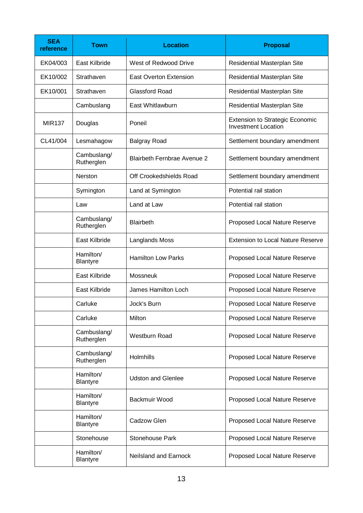| <b>SEA</b><br>reference | <b>Town</b>                  | <b>Location</b>                    | <b>Proposal</b>                                                      |
|-------------------------|------------------------------|------------------------------------|----------------------------------------------------------------------|
| EK04/003                | East Kilbride                | West of Redwood Drive              | Residential Masterplan Site                                          |
| EK10/002                | Strathaven                   | <b>East Overton Extension</b>      | Residential Masterplan Site                                          |
| EK10/001                | Strathaven                   | <b>Glassford Road</b>              | Residential Masterplan Site                                          |
|                         | Cambuslang                   | East Whitlawburn                   | Residential Masterplan Site                                          |
| <b>MIR137</b>           | Douglas                      | Poneil                             | <b>Extension to Strategic Economic</b><br><b>Investment Location</b> |
| CL41/004                | Lesmahagow                   | <b>Balgray Road</b>                | Settlement boundary amendment                                        |
|                         | Cambuslang/<br>Rutherglen    | <b>Blairbeth Fernbrae Avenue 2</b> | Settlement boundary amendment                                        |
|                         | Nerston                      | Off Crookedshields Road            | Settlement boundary amendment                                        |
|                         | Symington                    | Land at Symington                  | Potential rail station                                               |
|                         | Law                          | Land at Law                        | Potential rail station                                               |
|                         | Cambuslang/<br>Rutherglen    | <b>Blairbeth</b>                   | Proposed Local Nature Reserve                                        |
|                         | East Kilbride                | Langlands Moss                     | <b>Extension to Local Nature Reserve</b>                             |
|                         | Hamilton/<br><b>Blantyre</b> | <b>Hamilton Low Parks</b>          | Proposed Local Nature Reserve                                        |
|                         | East Kilbride                | Mossneuk                           | Proposed Local Nature Reserve                                        |
|                         | East Kilbride                | James Hamilton Loch                | Proposed Local Nature Reserve                                        |
|                         | Carluke                      | Jock's Burn                        | Proposed Local Nature Reserve                                        |
|                         | Carluke                      | Milton                             | Proposed Local Nature Reserve                                        |
|                         | Cambuslang/<br>Rutherglen    | <b>Westburn Road</b>               | Proposed Local Nature Reserve                                        |
|                         | Cambuslang/<br>Rutherglen    | Holmhills                          | Proposed Local Nature Reserve                                        |
|                         | Hamilton/<br><b>Blantyre</b> | <b>Udston and Glenlee</b>          | Proposed Local Nature Reserve                                        |
|                         | Hamilton/<br><b>Blantyre</b> | Backmuir Wood                      | Proposed Local Nature Reserve                                        |
|                         | Hamilton/<br>Blantyre        | Cadzow Glen                        | Proposed Local Nature Reserve                                        |
|                         | Stonehouse                   | Stonehouse Park                    | Proposed Local Nature Reserve                                        |
|                         | Hamilton/<br>Blantyre        | Neilsland and Earnock              | Proposed Local Nature Reserve                                        |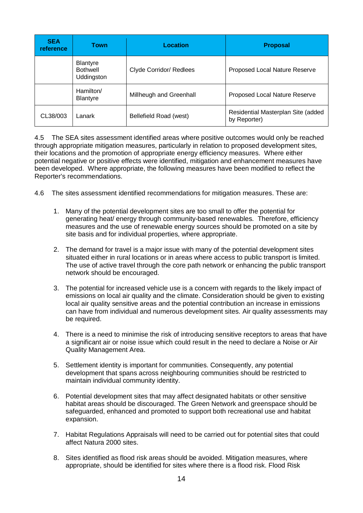| <b>SEA</b><br>reference | <b>Town</b>                                      | Location                | <b>Proposal</b>                                    |
|-------------------------|--------------------------------------------------|-------------------------|----------------------------------------------------|
|                         | <b>Blantyre</b><br><b>Bothwell</b><br>Uddingston | Clyde Corridor/ Redlees | Proposed Local Nature Reserve                      |
|                         | Hamilton/<br><b>Blantyre</b>                     | Millheugh and Greenhall | Proposed Local Nature Reserve                      |
| CL38/003                | Lanark                                           | Bellefield Road (west)  | Residential Masterplan Site (added<br>by Reporter) |

4.5 The SEA sites assessment identified areas where positive outcomes would only be reached through appropriate mitigation measures, particularly in relation to proposed development sites, their locations and the promotion of appropriate energy efficiency measures. Where either potential negative or positive effects were identified, mitigation and enhancement measures have been developed. Where appropriate, the following measures have been modified to reflect the Reporter's recommendations.

- 4.6 The sites assessment identified recommendations for mitigation measures. These are:
	- 1. Many of the potential development sites are too small to offer the potential for generating heat/ energy through community-based renewables. Therefore, efficiency measures and the use of renewable energy sources should be promoted on a site by site basis and for individual properties, where appropriate.
	- 2. The demand for travel is a major issue with many of the potential development sites situated either in rural locations or in areas where access to public transport is limited. The use of active travel through the core path network or enhancing the public transport network should be encouraged.
	- 3. The potential for increased vehicle use is a concern with regards to the likely impact of emissions on local air quality and the climate. Consideration should be given to existing local air quality sensitive areas and the potential contribution an increase in emissions can have from individual and numerous development sites. Air quality assessments may be required.
	- 4. There is a need to minimise the risk of introducing sensitive receptors to areas that have a significant air or noise issue which could result in the need to declare a Noise or Air Quality Management Area.
	- 5. Settlement identity is important for communities. Consequently, any potential development that spans across neighbouring communities should be restricted to maintain individual community identity.
	- 6. Potential development sites that may affect designated habitats or other sensitive habitat areas should be discouraged. The Green Network and greenspace should be safeguarded, enhanced and promoted to support both recreational use and habitat expansion.
	- 7. Habitat Regulations Appraisals will need to be carried out for potential sites that could affect Natura 2000 sites.
	- 8. Sites identified as flood risk areas should be avoided. Mitigation measures, where appropriate, should be identified for sites where there is a flood risk. Flood Risk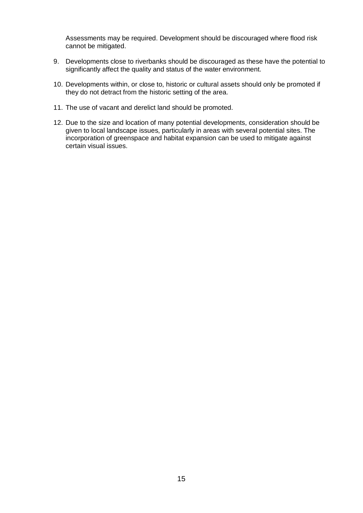Assessments may be required. Development should be discouraged where flood risk cannot be mitigated.

- 9. Developments close to riverbanks should be discouraged as these have the potential to significantly affect the quality and status of the water environment.
- 10. Developments within, or close to, historic or cultural assets should only be promoted if they do not detract from the historic setting of the area.
- 11. The use of vacant and derelict land should be promoted.
- 12. Due to the size and location of many potential developments, consideration should be given to local landscape issues, particularly in areas with several potential sites. The incorporation of greenspace and habitat expansion can be used to mitigate against certain visual issues.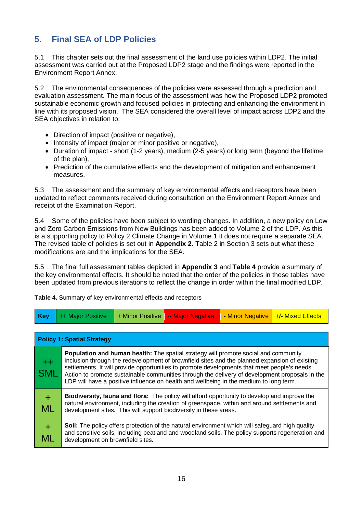# **5. Final SEA of LDP Policies**

5.1 This chapter sets out the final assessment of the land use policies within LDP2. The initial assessment was carried out at the Proposed LDP2 stage and the findings were reported in the Environment Report Annex.

5.2 The environmental consequences of the policies were assessed through a prediction and evaluation assessment. The main focus of the assessment was how the Proposed LDP2 promoted sustainable economic growth and focused policies in protecting and enhancing the environment in line with its proposed vision. The SEA considered the overall level of impact across LDP2 and the SEA objectives in relation to:

- Direction of impact (positive or negative),
- Intensity of impact (major or minor positive or negative),
- Duration of impact short (1-2 years), medium (2-5 years) or long term (beyond the lifetime of the plan),
- Prediction of the cumulative effects and the development of mitigation and enhancement measures.

5.3 The assessment and the summary of key environmental effects and receptors have been updated to reflect comments received during consultation on the Environment Report Annex and receipt of the Examination Report.

5.4 Some of the policies have been subject to wording changes. In addition, a new policy on Low and Zero Carbon Emissions from New Buildings has been added to Volume 2 of the LDP. As this is a supporting policy to Policy 2 Climate Change in Volume 1 it does not require a separate SEA. The revised table of policies is set out in **Appendix 2**. Table 2 in Section 3 sets out what these modifications are and the implications for the SEA.

5.5 The final full assessment tables depicted in **Appendix 3** and **Table 4** provide a summary of the key environmental effects. It should be noted that the order of the policies in these tables have been updated from previous iterations to reflect the change in order within the final modified LDP.

| <b>Key</b>         | ++ Major Positive                 | + Minor Positive | -- Major Negative                                                                                                                                                                                                                                                                                                                                                                                                                                                                       | - Minor Negative | +/- Mixed Effects |
|--------------------|-----------------------------------|------------------|-----------------------------------------------------------------------------------------------------------------------------------------------------------------------------------------------------------------------------------------------------------------------------------------------------------------------------------------------------------------------------------------------------------------------------------------------------------------------------------------|------------------|-------------------|
|                    | <b>Policy 1: Spatial Strategy</b> |                  |                                                                                                                                                                                                                                                                                                                                                                                                                                                                                         |                  |                   |
| $++$<br><b>SML</b> |                                   |                  | <b>Population and human health:</b> The spatial strategy will promote social and community<br>inclusion through the redevelopment of brownfield sites and the planned expansion of existing<br>settlements. It will provide opportunities to promote developments that meet people's needs.<br>Action to promote sustainable communities through the delivery of development proposals in the<br>LDP will have a positive influence on health and wellbeing in the medium to long term. |                  |                   |
| $+$<br><b>ML</b>   |                                   |                  | Biodiversity, fauna and flora: The policy will afford opportunity to develop and improve the<br>natural environment, including the creation of greenspace, within and around settlements and<br>development sites. This will support biodiversity in these areas.                                                                                                                                                                                                                       |                  |                   |
| $\pm$<br>ML        | development on brownfield sites.  |                  | Soil: The policy offers protection of the natural environment which will safeguard high quality<br>and sensitive soils, including peatland and woodland soils. The policy supports regeneration and                                                                                                                                                                                                                                                                                     |                  |                   |

**Table 4.** Summary of key environmental effects and receptors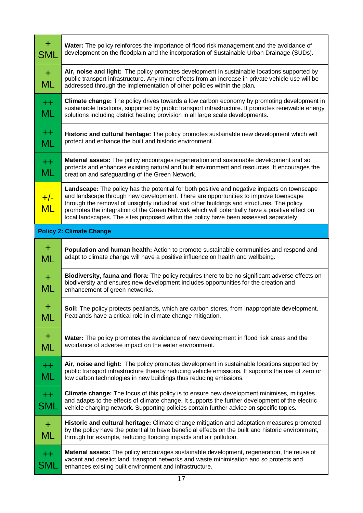| $+$<br>SML              | Water: The policy reinforces the importance of flood risk management and the avoidance of<br>development on the floodplain and the incorporation of Sustainable Urban Drainage (SUDs).                                                                                                                                                                                                                                                                                      |
|-------------------------|-----------------------------------------------------------------------------------------------------------------------------------------------------------------------------------------------------------------------------------------------------------------------------------------------------------------------------------------------------------------------------------------------------------------------------------------------------------------------------|
| $+$<br>ML               | Air, noise and light: The policy promotes development in sustainable locations supported by<br>public transport infrastructure. Any minor effects from an increase in private vehicle use will be<br>addressed through the implementation of other policies within the plan.                                                                                                                                                                                                |
| $++$<br><b>ML</b>       | Climate change: The policy drives towards a low carbon economy by promoting development in<br>sustainable locations, supported by public transport infrastructure. It promotes renewable energy<br>solutions including district heating provision in all large scale developments.                                                                                                                                                                                          |
| $+ +$<br>ML             | Historic and cultural heritage: The policy promotes sustainable new development which will<br>protect and enhance the built and historic environment.                                                                                                                                                                                                                                                                                                                       |
| $+$<br>ML               | Material assets: The policy encourages regeneration and sustainable development and so<br>protects and enhances existing natural and built environment and resources. It encourages the<br>creation and safeguarding of the Green Network.                                                                                                                                                                                                                                  |
| $+/-$<br><b>ML</b>      | Landscape: The policy has the potential for both positive and negative impacts on townscape<br>and landscape through new development. There are opportunities to improve townscape<br>through the removal of unsightly industrial and other buildings and structures. The policy<br>promotes the integration of the Green Network which will potentially have a positive effect on<br>local landscapes. The sites proposed within the policy have been assessed separately. |
|                         | <b>Policy 2: Climate Change</b>                                                                                                                                                                                                                                                                                                                                                                                                                                             |
| $\pm$<br>ML             | Population and human health: Action to promote sustainable communities and respond and<br>adapt to climate change will have a positive influence on health and wellbeing.                                                                                                                                                                                                                                                                                                   |
|                         |                                                                                                                                                                                                                                                                                                                                                                                                                                                                             |
| $\ddagger$<br><b>ML</b> | Biodiversity, fauna and flora: The policy requires there to be no significant adverse effects on<br>biodiversity and ensures new development includes opportunities for the creation and<br>enhancement of green networks.                                                                                                                                                                                                                                                  |
| ┿<br>ML                 | Soil: The policy protects peatlands, which are carbon stores, from inappropriate development.<br>Peatlands have a critical role in climate change mitigation.                                                                                                                                                                                                                                                                                                               |
| $\pm$<br>ML             | Water: The policy promotes the avoidance of new development in flood risk areas and the<br>avoidance of adverse impact on the water environment.                                                                                                                                                                                                                                                                                                                            |
| $++$<br>ML              | Air, noise and light: The policy promotes development in sustainable locations supported by<br>public transport infrastructure thereby reducing vehicle emissions. It supports the use of zero or<br>low carbon technologies in new buildings thus reducing emissions.                                                                                                                                                                                                      |
| $++$<br>SML             | <b>Climate change:</b> The focus of this policy is to ensure new development minimises, mitigates<br>and adapts to the effects of climate change. It supports the further development of the electric<br>vehicle charging network. Supporting policies contain further advice on specific topics.                                                                                                                                                                           |
| $\pm$<br>ML             | Historic and cultural heritage: Climate change mitigation and adaptation measures promoted<br>by the policy have the potential to have beneficial effects on the built and historic environment,<br>through for example, reducing flooding impacts and air pollution.                                                                                                                                                                                                       |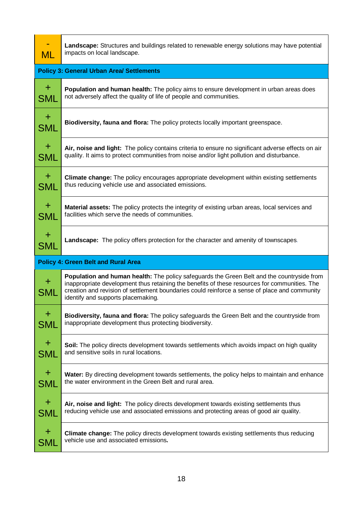| <b>ML</b>           | Landscape: Structures and buildings related to renewable energy solutions may have potential<br>impacts on local landscape.                                                                                                                                                                                                        |
|---------------------|------------------------------------------------------------------------------------------------------------------------------------------------------------------------------------------------------------------------------------------------------------------------------------------------------------------------------------|
|                     | <b>Policy 3: General Urban Area/ Settlements</b>                                                                                                                                                                                                                                                                                   |
| $\pm$               | Population and human health: The policy aims to ensure development in urban areas does                                                                                                                                                                                                                                             |
| <b>SML</b>          | not adversely affect the quality of life of people and communities.                                                                                                                                                                                                                                                                |
| $\pm$<br><b>SML</b> | Biodiversity, fauna and flora: The policy protects locally important greenspace.                                                                                                                                                                                                                                                   |
| $\pm$               | Air, noise and light: The policy contains criteria to ensure no significant adverse effects on air                                                                                                                                                                                                                                 |
| <b>SML</b>          | quality. It aims to protect communities from noise and/or light pollution and disturbance.                                                                                                                                                                                                                                         |
| $\pm$               | Climate change: The policy encourages appropriate development within existing settlements                                                                                                                                                                                                                                          |
| <b>SML</b>          | thus reducing vehicle use and associated emissions.                                                                                                                                                                                                                                                                                |
| $\pm$               | Material assets: The policy protects the integrity of existing urban areas, local services and                                                                                                                                                                                                                                     |
| <b>SML</b>          | facilities which serve the needs of communities.                                                                                                                                                                                                                                                                                   |
| $\pm$               | Landscape: The policy offers protection for the character and amenity of townscapes.                                                                                                                                                                                                                                               |
| <b>SML</b>          |                                                                                                                                                                                                                                                                                                                                    |
|                     | <b>Policy 4: Green Belt and Rural Area</b>                                                                                                                                                                                                                                                                                         |
| $+$<br>SML          | Population and human health: The policy safeguards the Green Belt and the countryside from<br>inappropriate development thus retaining the benefits of these resources for communities. The<br>creation and revision of settlement boundaries could reinforce a sense of place and community<br>identify and supports placemaking. |
| $\bf{+}$            | Biodiversity, fauna and flora: The policy safeguards the Green Belt and the countryside from                                                                                                                                                                                                                                       |
| <b>SML</b>          | inappropriate development thus protecting biodiversity.                                                                                                                                                                                                                                                                            |
| $\pm$               | Soil: The policy directs development towards settlements which avoids impact on high quality                                                                                                                                                                                                                                       |
| SML                 | and sensitive soils in rural locations.                                                                                                                                                                                                                                                                                            |
| $\pm$               | Water: By directing development towards settlements, the policy helps to maintain and enhance                                                                                                                                                                                                                                      |
| SML                 | the water environment in the Green Belt and rural area.                                                                                                                                                                                                                                                                            |
| $\pm$               | Air, noise and light: The policy directs development towards existing settlements thus                                                                                                                                                                                                                                             |
| SML                 | reducing vehicle use and associated emissions and protecting areas of good air quality.                                                                                                                                                                                                                                            |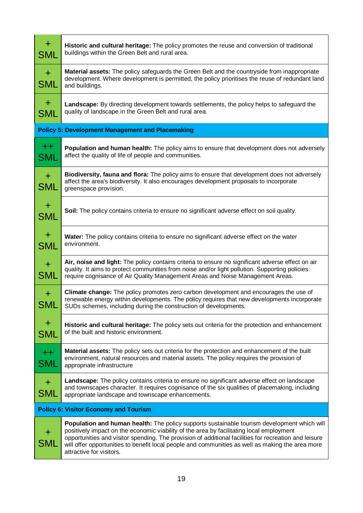| $\pm$<br><b>SML</b>   | Historic and cultural heritage: The policy promotes the reuse and conversion of traditional<br>buildings within the Green Belt and rural area.                                                                                                                                                                                                                                                                                   |
|-----------------------|----------------------------------------------------------------------------------------------------------------------------------------------------------------------------------------------------------------------------------------------------------------------------------------------------------------------------------------------------------------------------------------------------------------------------------|
| $+$<br><b>SML</b>     | Material assets: The policy safeguards the Green Belt and the countryside from inappropriate<br>development. Where development is permitted, the policy prioritises the reuse of redundant land<br>and buildings.                                                                                                                                                                                                                |
| $\pm$<br>SML          | Landscape: By directing development towards settlements, the policy helps to safeguard the<br>quality of landscape in the Green Belt and rural area.                                                                                                                                                                                                                                                                             |
|                       | <b>Policy 5: Development Management and Placemaking</b>                                                                                                                                                                                                                                                                                                                                                                          |
| $^{++}$<br><b>SML</b> | Population and human health: The policy aims to ensure that development does not adversely<br>affect the quality of life of people and communities.                                                                                                                                                                                                                                                                              |
| $+$<br>SML            | Biodiversity, fauna and flora: The policy aims to ensure that development does not adversely<br>affect the area's biodiversity. It also encourages development proposals to incorporate<br>greenspace provision.                                                                                                                                                                                                                 |
| $+$<br>SML            | Soil: The policy contains criteria to ensure no significant adverse effect on soil quality.                                                                                                                                                                                                                                                                                                                                      |
| $+$<br>SML            | Water: The policy contains criteria to ensure no significant adverse effect on the water<br>environment.                                                                                                                                                                                                                                                                                                                         |
| $\pm$<br><b>SML</b>   | Air, noise and light: The policy contains criteria to ensure no significant adverse effect on air<br>quality. It aims to protect communities from noise and/or light pollution. Supporting policies<br>require cognisance of Air Quality Management Areas and Noise Management Areas.                                                                                                                                            |
| $+$<br>SML            | Climate change: The policy promotes zero carbon development and encourages the use of<br>renewable energy within developments. The policy requires that new developments incorporate<br>SUDs schemes, including during the construction of developments.                                                                                                                                                                         |
| $+$<br>SML            | Historic and cultural heritage: The policy sets out criteria for the protection and enhancement<br>of the built and historic environment.                                                                                                                                                                                                                                                                                        |
| $++$<br>SML           | <b>Material assets:</b> The policy sets out criteria for the protection and enhancement of the built<br>environment, natural resources and material assets. The policy requires the provision of<br>appropriate infrastructure                                                                                                                                                                                                   |
| $+$<br><b>SML</b>     | <b>Landscape:</b> The policy contains criteria to ensure no significant adverse effect on landscape<br>and townscapes character. It requires cognisance of the six qualities of placemaking, including<br>appropriate landscape and townscape enhancements.                                                                                                                                                                      |
|                       | <b>Policy 6: Visitor Economy and Tourism</b>                                                                                                                                                                                                                                                                                                                                                                                     |
| <b>SML</b>            | Population and human health: The policy supports sustainable tourism development which will<br>positively impact on the economic viability of the area by facilitating local employment<br>opportunities and visitor spending. The provision of additional facilities for recreation and leisure<br>will offer opportunities to benefit local people and communities as well as making the area more<br>attractive for visitors. |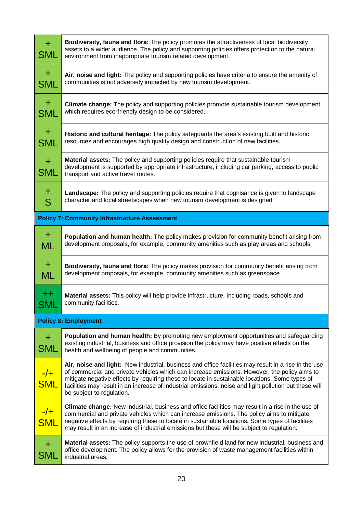| $+$<br>SML          | Biodiversity, fauna and flora: The policy promotes the attractiveness of local biodiversity<br>assets to a wider audience. The policy and supporting policies offers protection to the natural<br>environment from inappropriate tourism related development.                                                                                                                                                                                 |
|---------------------|-----------------------------------------------------------------------------------------------------------------------------------------------------------------------------------------------------------------------------------------------------------------------------------------------------------------------------------------------------------------------------------------------------------------------------------------------|
| $+$<br><b>SML</b>   | Air, noise and light: The policy and supporting policies have criteria to ensure the amenity of<br>communities is not adversely impacted by new tourism development.                                                                                                                                                                                                                                                                          |
| $+$<br><b>SML</b>   | Climate change: The policy and supporting policies promote sustainable tourism development<br>which requires eco-friendly design to be considered.                                                                                                                                                                                                                                                                                            |
| $+$<br><b>SML</b>   | Historic and cultural heritage: The policy safeguards the area's existing built and historic<br>resources and encourages high quality design and construction of new facilities.                                                                                                                                                                                                                                                              |
| $+$<br><b>SML</b>   | Material assets: The policy and supporting policies require that sustainable tourism<br>development is supported by appropriate infrastructure, including car parking, access to public<br>transport and active travel routes.                                                                                                                                                                                                                |
| $\pm$<br>S          | <b>Landscape:</b> The policy and supporting policies require that cognisance is given to landscape<br>character and local streetscapes when new tourism development is designed.                                                                                                                                                                                                                                                              |
|                     | <b>Policy 7: Community Infrastructure Assessment</b>                                                                                                                                                                                                                                                                                                                                                                                          |
| $+$<br>ML           | Population and human health: The policy makes provision for community benefit arising from<br>development proposals, for example, community amenities such as play areas and schools.                                                                                                                                                                                                                                                         |
| $+$<br><b>ML</b>    | Biodiversity, fauna and flora: The policy makes provision for community benefit arising from<br>development proposals, for example, community amenities such as greenspace.                                                                                                                                                                                                                                                                   |
| $+ +$<br><b>SMI</b> | Material assets: This policy will help provide infrastructure, including roads, schools and<br>community facilities.                                                                                                                                                                                                                                                                                                                          |
|                     | <b>Policy 8: Employment</b>                                                                                                                                                                                                                                                                                                                                                                                                                   |
| $\pm$<br><b>SML</b> | Population and human health: By promoting new employment opportunities and safeguarding<br>existing industrial, business and office provision the policy may have positive effects on the<br>health and wellbeing of people and communities.                                                                                                                                                                                                  |
| $-/-$<br><b>SML</b> | Air, noise and light: New industrial, business and office facilities may result in a rise in the use<br>of commercial and private vehicles which can increase emissions. However, the policy aims to<br>mitigate negative effects by requiring these to locate in sustainable locations. Some types of<br>facilities may result in an increase of industrial emissions, noise and light pollution but these will<br>be subject to regulation. |
| $-/-$<br><b>SML</b> | <b>Climate change:</b> New industrial, business and office facilities may result in a rise in the use of<br>commercial and private vehicles which can increase emissions. The policy aims to mitigate<br>negative effects by requiring these to locate in sustainable locations. Some types of facilities<br>may result in an increase of industrial emissions but these will be subject to regulation.                                       |
| $+$                 | Material assets: The policy supports the use of brownfield land for new industrial, business and                                                                                                                                                                                                                                                                                                                                              |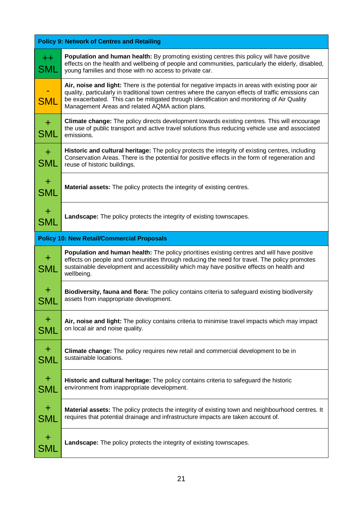| <b>Policy 9: Network of Centres and Retailing</b> |                                                                                                                                                                                                                                                                                                                                                           |  |
|---------------------------------------------------|-----------------------------------------------------------------------------------------------------------------------------------------------------------------------------------------------------------------------------------------------------------------------------------------------------------------------------------------------------------|--|
| $+ +$<br>SML                                      | Population and human health: By promoting existing centres this policy will have positive<br>effects on the health and wellbeing of people and communities, particularly the elderly, disabled,<br>young families and those with no access to private car.                                                                                                |  |
| <b>SML</b>                                        | Air, noise and light: There is the potential for negative impacts in areas with existing poor air<br>quality, particularly in traditional town centres where the canyon effects of traffic emissions can<br>be exacerbated. This can be mitigated through identification and monitoring of Air Quality<br>Management Areas and related AQMA action plans. |  |
| $+$<br><b>SML</b>                                 | Climate change: The policy directs development towards existing centres. This will encourage<br>the use of public transport and active travel solutions thus reducing vehicle use and associated<br>emissions.                                                                                                                                            |  |
| $\pm$<br><b>SML</b>                               | Historic and cultural heritage: The policy protects the integrity of existing centres, including<br>Conservation Areas. There is the potential for positive effects in the form of regeneration and<br>reuse of historic buildings.                                                                                                                       |  |
| $\pm$<br><b>SML</b>                               | Material assets: The policy protects the integrity of existing centres.                                                                                                                                                                                                                                                                                   |  |
| $\pm$<br><b>SML</b>                               | Landscape: The policy protects the integrity of existing townscapes.                                                                                                                                                                                                                                                                                      |  |
|                                                   | <b>Policy 10: New Retail/Commercial Proposals</b>                                                                                                                                                                                                                                                                                                         |  |
| $+$<br>SML                                        | <b>Population and human health:</b> The policy prioritises existing centres and will have positive<br>effects on people and communities through reducing the need for travel. The policy promotes<br>sustainable development and accessibility which may have positive effects on health and<br>wellbeing.                                                |  |
| $+$<br>SML                                        | Biodiversity, fauna and flora: The policy contains criteria to safeguard existing biodiversity<br>assets from inappropriate development.                                                                                                                                                                                                                  |  |
| $\pm$<br>SML                                      | Air, noise and light: The policy contains criteria to minimise travel impacts which may impact<br>on local air and noise quality.                                                                                                                                                                                                                         |  |
| $\pm$<br>SML                                      | Climate change: The policy requires new retail and commercial development to be in<br>sustainable locations.                                                                                                                                                                                                                                              |  |
| $\pm$<br>SML                                      | Historic and cultural heritage: The policy contains criteria to safeguard the historic<br>environment from inappropriate development.                                                                                                                                                                                                                     |  |
| $\pm$<br>SML                                      | Material assets: The policy protects the integrity of existing town and neighbourhood centres. It<br>requires that potential drainage and infrastructure impacts are taken account of.                                                                                                                                                                    |  |
| $\div$<br>SML                                     | Landscape: The policy protects the integrity of existing townscapes.                                                                                                                                                                                                                                                                                      |  |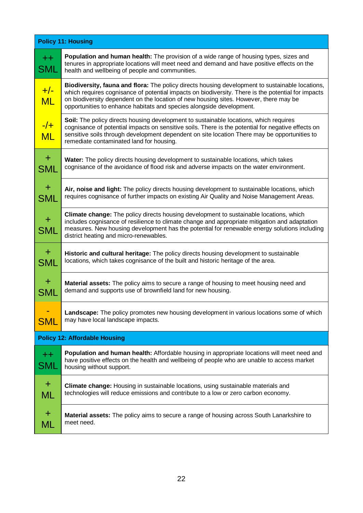| <b>Policy 11: Housing</b>            |                                                                                                                                                                                                                                                                                                                                                                        |  |  |
|--------------------------------------|------------------------------------------------------------------------------------------------------------------------------------------------------------------------------------------------------------------------------------------------------------------------------------------------------------------------------------------------------------------------|--|--|
| $^{++}$<br>SML                       | Population and human health: The provision of a wide range of housing types, sizes and<br>tenures in appropriate locations will meet need and demand and have positive effects on the<br>health and wellbeing of people and communities.                                                                                                                               |  |  |
| $+/-$<br><b>ML</b>                   | Biodiversity, fauna and flora: The policy directs housing development to sustainable locations,<br>which requires cognisance of potential impacts on biodiversity. There is the potential for impacts<br>on biodiversity dependent on the location of new housing sites. However, there may be<br>opportunities to enhance habitats and species alongside development. |  |  |
| $-/-$<br><b>ML</b>                   | Soil: The policy directs housing development to sustainable locations, which requires<br>cognisance of potential impacts on sensitive soils. There is the potential for negative effects on<br>sensitive soils through development dependent on site location There may be opportunities to<br>remediate contaminated land for housing.                                |  |  |
| $+$<br><b>SML</b>                    | Water: The policy directs housing development to sustainable locations, which takes<br>cognisance of the avoidance of flood risk and adverse impacts on the water environment.                                                                                                                                                                                         |  |  |
| $\pm$<br><b>SML</b>                  | Air, noise and light: The policy directs housing development to sustainable locations, which<br>requires cognisance of further impacts on existing Air Quality and Noise Management Areas.                                                                                                                                                                             |  |  |
| $\pm$<br>SML                         | Climate change: The policy directs housing development to sustainable locations, which<br>includes cognisance of resilience to climate change and appropriate mitigation and adaptation<br>measures. New housing development has the potential for renewable energy solutions including<br>district heating and micro-renewables.                                      |  |  |
| $+$<br><b>SML</b>                    | Historic and cultural heritage: The policy directs housing development to sustainable<br>locations, which takes cognisance of the built and historic heritage of the area.                                                                                                                                                                                             |  |  |
| $+$<br>SML                           | <b>Material assets:</b> The policy aims to secure a range of housing to meet housing need and<br>demand and supports use of brownfield land for new housing.                                                                                                                                                                                                           |  |  |
| <b>SML</b>                           | Landscape: The policy promotes new housing development in various locations some of which<br>may have local landscape impacts.                                                                                                                                                                                                                                         |  |  |
| <b>Policy 12: Affordable Housing</b> |                                                                                                                                                                                                                                                                                                                                                                        |  |  |
| $+ +$<br>SML                         | Population and human health: Affordable housing in appropriate locations will meet need and<br>have positive effects on the health and wellbeing of people who are unable to access market<br>housing without support.                                                                                                                                                 |  |  |
| $\pm$<br>ML                          | Climate change: Housing in sustainable locations, using sustainable materials and<br>technologies will reduce emissions and contribute to a low or zero carbon economy.                                                                                                                                                                                                |  |  |
| $\pm$<br>ML                          | Material assets: The policy aims to secure a range of housing across South Lanarkshire to<br>meet need.                                                                                                                                                                                                                                                                |  |  |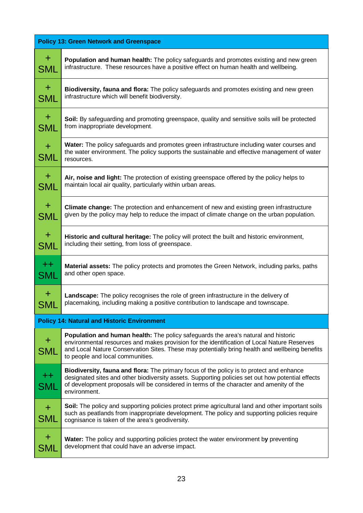| <b>Policy 13: Green Network and Greenspace</b> |                                                                                                                                                                                                                                                                                                                                |  |
|------------------------------------------------|--------------------------------------------------------------------------------------------------------------------------------------------------------------------------------------------------------------------------------------------------------------------------------------------------------------------------------|--|
| $+$                                            | Population and human health: The policy safeguards and promotes existing and new green                                                                                                                                                                                                                                         |  |
| SML                                            | infrastructure. These resources have a positive effect on human health and wellbeing.                                                                                                                                                                                                                                          |  |
| $\pm$                                          | Biodiversity, fauna and flora: The policy safeguards and promotes existing and new green                                                                                                                                                                                                                                       |  |
| SML                                            | infrastructure which will benefit biodiversity.                                                                                                                                                                                                                                                                                |  |
| $\pm$                                          | Soil: By safeguarding and promoting greenspace, quality and sensitive soils will be protected                                                                                                                                                                                                                                  |  |
| SML                                            | from inappropriate development.                                                                                                                                                                                                                                                                                                |  |
| $+$<br><b>SML</b>                              | Water: The policy safeguards and promotes green infrastructure including water courses and<br>the water environment. The policy supports the sustainable and effective management of water<br>resources.                                                                                                                       |  |
| $+$                                            | Air, noise and light: The protection of existing greenspace offered by the policy helps to                                                                                                                                                                                                                                     |  |
| SML                                            | maintain local air quality, particularly within urban areas.                                                                                                                                                                                                                                                                   |  |
| $+$                                            | Climate change: The protection and enhancement of new and existing green infrastructure                                                                                                                                                                                                                                        |  |
| SML                                            | given by the policy may help to reduce the impact of climate change on the urban population.                                                                                                                                                                                                                                   |  |
| $+$                                            | Historic and cultural heritage: The policy will protect the built and historic environment,                                                                                                                                                                                                                                    |  |
| SML                                            | including their setting, from loss of greenspace.                                                                                                                                                                                                                                                                              |  |
| $++$                                           | <b>Material assets:</b> The policy protects and promotes the Green Network, including parks, paths                                                                                                                                                                                                                             |  |
| SML                                            | and other open space.                                                                                                                                                                                                                                                                                                          |  |
| $\pm$                                          | Landscape: The policy recognises the role of green infrastructure in the delivery of                                                                                                                                                                                                                                           |  |
| SML                                            | placemaking, including making a positive contribution to landscape and townscape.                                                                                                                                                                                                                                              |  |
|                                                | <b>Policy 14: Natural and Historic Environment</b>                                                                                                                                                                                                                                                                             |  |
| $\pm$<br>SML                                   | <b>Population and human health:</b> The policy safeguards the area's natural and historic<br>environmental resources and makes provision for the identification of Local Nature Reserves<br>and Local Nature Conservation Sites. These may potentially bring health and wellbeing benefits<br>to people and local communities. |  |
| $++$<br><b>SML</b>                             | Biodiversity, fauna and flora: The primary focus of the policy is to protect and enhance<br>designated sites and other biodiversity assets. Supporting policies set out how potential effects<br>of development proposals will be considered in terms of the character and amenity of the<br>environment.                      |  |
| $+$<br>SML                                     | Soil: The policy and supporting policies protect prime agricultural land and other important soils<br>such as peatlands from inappropriate development. The policy and supporting policies require<br>cognisance is taken of the area's geodiversity.                                                                          |  |
| $+$                                            | Water: The policy and supporting policies protect the water environment by preventing                                                                                                                                                                                                                                          |  |
| SML                                            | development that could have an adverse impact.                                                                                                                                                                                                                                                                                 |  |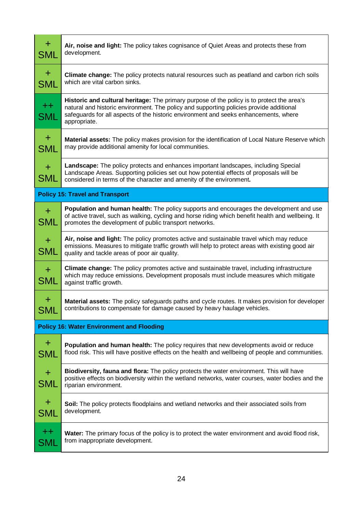| $+$<br>SML                                       | Air, noise and light: The policy takes cognisance of Quiet Areas and protects these from<br>development.                                                                                                                                                                                      |  |  |
|--------------------------------------------------|-----------------------------------------------------------------------------------------------------------------------------------------------------------------------------------------------------------------------------------------------------------------------------------------------|--|--|
| $+$<br><b>SML</b>                                | Climate change: The policy protects natural resources such as peatland and carbon rich soils<br>which are vital carbon sinks.                                                                                                                                                                 |  |  |
| $++$<br>SML                                      | Historic and cultural heritage: The primary purpose of the policy is to protect the area's<br>natural and historic environment. The policy and supporting policies provide additional<br>safeguards for all aspects of the historic environment and seeks enhancements, where<br>appropriate. |  |  |
| $+$<br>SML                                       | Material assets: The policy makes provision for the identification of Local Nature Reserve which<br>may provide additional amenity for local communities.                                                                                                                                     |  |  |
| $+$<br><b>SML</b>                                | <b>Landscape:</b> The policy protects and enhances important landscapes, including Special<br>Landscape Areas. Supporting policies set out how potential effects of proposals will be<br>considered in terms of the character and amenity of the environment.                                 |  |  |
|                                                  | <b>Policy 15: Travel and Transport</b>                                                                                                                                                                                                                                                        |  |  |
| $+$<br>SML                                       | Population and human health: The policy supports and encourages the development and use<br>of active travel, such as walking, cycling and horse riding which benefit health and wellbeing. It<br>promotes the development of public transport networks.                                       |  |  |
| $+$<br><b>SML</b>                                | Air, noise and light: The policy promotes active and sustainable travel which may reduce<br>emissions. Measures to mitigate traffic growth will help to protect areas with existing good air<br>quality and tackle areas of poor air quality.                                                 |  |  |
| $+$<br><b>SML</b>                                | <b>Climate change:</b> The policy promotes active and sustainable travel, including infrastructure<br>which may reduce emissions. Development proposals must include measures which mitigate<br>against traffic growth.                                                                       |  |  |
| $\bf{+}$<br>SML                                  | Material assets: The policy safeguards paths and cycle routes. It makes provision for developer<br>contributions to compensate for damage caused by heavy haulage vehicles.                                                                                                                   |  |  |
| <b>Policy 16: Water Environment and Flooding</b> |                                                                                                                                                                                                                                                                                               |  |  |
| $\pm$<br>SML                                     | Population and human health: The policy requires that new developments avoid or reduce<br>flood risk. This will have positive effects on the health and wellbeing of people and communities.                                                                                                  |  |  |
| $\pm$<br>SML                                     | Biodiversity, fauna and flora: The policy protects the water environment. This will have<br>positive effects on biodiversity within the wetland networks, water courses, water bodies and the<br>riparian environment.                                                                        |  |  |
| $\pm$<br>SML                                     | Soil: The policy protects floodplains and wetland networks and their associated soils from<br>development.                                                                                                                                                                                    |  |  |
| $++$<br>SML                                      | <b>Water:</b> The primary focus of the policy is to protect the water environment and avoid flood risk,<br>from inappropriate development.                                                                                                                                                    |  |  |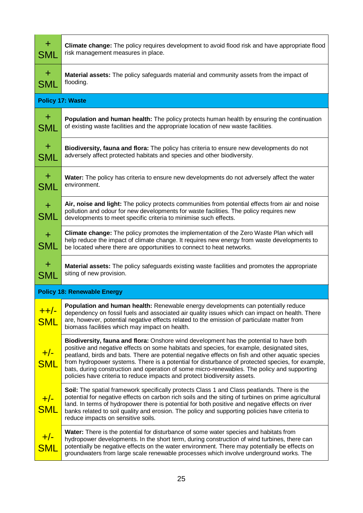| $+$<br>SML            | <b>Climate change:</b> The policy requires development to avoid flood risk and have appropriate flood<br>risk management measures in place.                                                                                                                                                                                                                                                                                                                                                                                                                              |
|-----------------------|--------------------------------------------------------------------------------------------------------------------------------------------------------------------------------------------------------------------------------------------------------------------------------------------------------------------------------------------------------------------------------------------------------------------------------------------------------------------------------------------------------------------------------------------------------------------------|
| $+$<br>SML            | Material assets: The policy safeguards material and community assets from the impact of<br>flooding.                                                                                                                                                                                                                                                                                                                                                                                                                                                                     |
|                       | <b>Policy 17: Waste</b>                                                                                                                                                                                                                                                                                                                                                                                                                                                                                                                                                  |
| $+$<br>SML            | <b>Population and human health:</b> The policy protects human health by ensuring the continuation<br>of existing waste facilities and the appropriate location of new waste facilities.                                                                                                                                                                                                                                                                                                                                                                                  |
| $\pm$<br>SML          | Biodiversity, fauna and flora: The policy has criteria to ensure new developments do not<br>adversely affect protected habitats and species and other biodiversity.                                                                                                                                                                                                                                                                                                                                                                                                      |
| $\pm$<br><b>SML</b>   | <b>Water:</b> The policy has criteria to ensure new developments do not adversely affect the water<br>environment.                                                                                                                                                                                                                                                                                                                                                                                                                                                       |
| $+$<br>SML            | Air, noise and light: The policy protects communities from potential effects from air and noise<br>pollution and odour for new developments for waste facilities. The policy requires new<br>developments to meet specific criteria to minimise such effects.                                                                                                                                                                                                                                                                                                            |
| $\pm$<br>SML          | Climate change: The policy promotes the implementation of the Zero Waste Plan which will<br>help reduce the impact of climate change. It requires new energy from waste developments to<br>be located where there are opportunities to connect to heat networks.                                                                                                                                                                                                                                                                                                         |
| $\pm$<br>SML          | <b>Material assets:</b> The policy safeguards existing waste facilities and promotes the appropriate<br>siting of new provision.                                                                                                                                                                                                                                                                                                                                                                                                                                         |
|                       | <b>Policy 18: Renewable Energy</b>                                                                                                                                                                                                                                                                                                                                                                                                                                                                                                                                       |
| $+$ +/-<br><b>SML</b> | Population and human health: Renewable energy developments can potentially reduce<br>dependency on fossil fuels and associated air quality issues which can impact on health. There<br>are, however, potential negative effects related to the emission of particulate matter from<br>biomass facilities which may impact on health.                                                                                                                                                                                                                                     |
| $+/-$<br><b>SML</b>   | Biodiversity, fauna and flora: Onshore wind development has the potential to have both<br>positive and negative effects on some habitats and species, for example, designated sites,<br>peatland, birds and bats. There are potential negative effects on fish and other aquatic species<br>from hydropower systems. There is a potential for disturbance of protected species, for example,<br>bats, during construction and operation of some micro-renewables. The policy and supporting<br>policies have criteria to reduce impacts and protect biodiversity assets. |
| $+/-$<br><b>SML</b>   | Soil: The spatial framework specifically protects Class 1 and Class peatlands. There is the<br>potential for negative effects on carbon rich soils and the siting of turbines on prime agricultural<br>land. In terms of hydropower there is potential for both positive and negative effects on river<br>banks related to soil quality and erosion. The policy and supporting policies have criteria to<br>reduce impacts on sensitive soils.                                                                                                                           |
| $\frac{+}{5}$         | Water: There is the potential for disturbance of some water species and habitats from<br>hydropower developments. In the short term, during construction of wind turbines, there can<br>potentially be negative effects on the water environment. There may potentially be effects on<br>groundwaters from large scale renewable processes which involve underground works. The                                                                                                                                                                                          |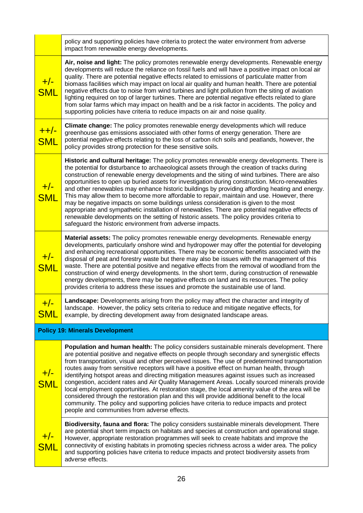|                           | policy and supporting policies have criteria to protect the water environment from adverse<br>impact from renewable energy developments.                                                                                                                                                                                                                                                                                                                                                                                                                                                                                                                                                                                                                                                                                                                                                                                                         |
|---------------------------|--------------------------------------------------------------------------------------------------------------------------------------------------------------------------------------------------------------------------------------------------------------------------------------------------------------------------------------------------------------------------------------------------------------------------------------------------------------------------------------------------------------------------------------------------------------------------------------------------------------------------------------------------------------------------------------------------------------------------------------------------------------------------------------------------------------------------------------------------------------------------------------------------------------------------------------------------|
| $+/-$<br><b>SML</b>       | Air, noise and light: The policy promotes renewable energy developments. Renewable energy<br>developments will reduce the reliance on fossil fuels and will have a positive impact on local air<br>quality. There are potential negative effects related to emissions of particulate matter from<br>biomass facilities which may impact on local air quality and human health. There are potential<br>negative effects due to noise from wind turbines and light pollution from the siting of aviation<br>lighting required on top of larger turbines. There are potential negative effects related to glare<br>from solar farms which may impact on health and be a risk factor in accidents. The policy and<br>supporting policies have criteria to reduce impacts on air and noise quality.                                                                                                                                                   |
| <u>++/-</u><br><b>SML</b> | Climate change: The policy promotes renewable energy developments which will reduce<br>greenhouse gas emissions associated with other forms of energy generation. There are<br>potential negative effects relating to the loss of carbon rich soils and peatlands, however, the<br>policy provides strong protection for these sensitive soils.                                                                                                                                                                                                                                                                                                                                                                                                                                                                                                                                                                                                  |
| $+/-$<br><b>SML</b>       | Historic and cultural heritage: The policy promotes renewable energy developments. There is<br>the potential for disturbance to archaeological assets through the creation of tracks during<br>construction of renewable energy developments and the siting of wind turbines. There are also<br>opportunities to open up buried assets for investigation during construction. Micro-renewables<br>and other renewables may enhance historic buildings by providing affording heating and energy.<br>This may allow them to become more affordable to repair, maintain and use. However, there<br>may be negative impacts on some buildings unless consideration is given to the most<br>appropriate and sympathetic installation of renewables. There are potential negative effects of<br>renewable developments on the setting of historic assets. The policy provides criteria to<br>safeguard the historic environment from adverse impacts. |
| $+/-$<br><b>SML</b>       | Material assets: The policy promotes renewable energy developments. Renewable energy<br>developments, particularly onshore wind and hydropower may offer the potential for developing<br>and enhancing recreational opportunities. There may be economic benefits associated with the<br>disposal of peat and forestry waste but there may also be issues with the management of this<br>waste. There are potential positive and negative effects from the removal of woodland from the<br>construction of wind energy developments. In the short term, during construction of renewable<br>energy developments, there may be negative effects on land and its resources. The policy<br>provides criteria to address these issues and promote the sustainable use of land.                                                                                                                                                                       |
| $+/-$<br><b>SML</b>       | Landscape: Developments arising from the policy may affect the character and integrity of<br>landscape. However, the policy sets criteria to reduce and mitigate negative effects, for<br>example, by directing development away from designated landscape areas.                                                                                                                                                                                                                                                                                                                                                                                                                                                                                                                                                                                                                                                                                |
|                           | <b>Policy 19: Minerals Development</b>                                                                                                                                                                                                                                                                                                                                                                                                                                                                                                                                                                                                                                                                                                                                                                                                                                                                                                           |
| $+/-$<br><b>SML</b>       | Population and human health: The policy considers sustainable minerals development. There<br>are potential positive and negative effects on people through secondary and synergistic effects<br>from transportation, visual and other perceived issues. The use of predetermined transportation<br>routes away from sensitive receptors will have a positive effect on human health, through<br>identifying hotspot areas and directing mitigation measures against issues such as increased<br>congestion, accident rates and Air Quality Management Areas. Locally sourced minerals provide<br>local employment opportunities. At restoration stage, the local amenity value of the area will be<br>considered through the restoration plan and this will provide additional benefit to the local<br>community. The policy and supporting policies have criteria to reduce impacts and protect<br>people and communities from adverse effects. |
| $+/-$<br><b>SML</b>       | Biodiversity, fauna and flora: The policy considers sustainable minerals development. There<br>are potential short term impacts on habitats and species at construction and operational stage.<br>However, appropriate restoration programmes will seek to create habitats and improve the<br>connectivity of existing habitats in promoting species richness across a wider area. The policy<br>and supporting policies have criteria to reduce impacts and protect biodiversity assets from<br>adverse effects.                                                                                                                                                                                                                                                                                                                                                                                                                                |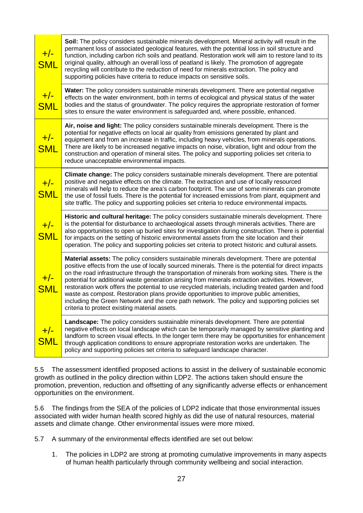| $+/-$<br><b>SML</b> | Soil: The policy considers sustainable minerals development. Mineral activity will result in the<br>permanent loss of associated geological features, with the potential loss in soil structure and<br>function, including carbon rich soils and peatland. Restoration work will aim to restore land to its<br>original quality, although an overall loss of peatland is likely. The promotion of aggregate<br>recycling will contribute to the reduction of need for minerals extraction. The policy and<br>supporting policies have criteria to reduce impacts on sensitive soils.                                                                                                                                                                           |
|---------------------|----------------------------------------------------------------------------------------------------------------------------------------------------------------------------------------------------------------------------------------------------------------------------------------------------------------------------------------------------------------------------------------------------------------------------------------------------------------------------------------------------------------------------------------------------------------------------------------------------------------------------------------------------------------------------------------------------------------------------------------------------------------|
| $+/-$<br><b>SML</b> | Water: The policy considers sustainable minerals development. There are potential negative<br>effects on the water environment, both in terms of ecological and physical status of the water<br>bodies and the status of groundwater. The policy requires the appropriate restoration of former<br>sites to ensure the water environment is safeguarded and, where possible, enhanced.                                                                                                                                                                                                                                                                                                                                                                         |
| $+/-$<br><b>SML</b> | Air, noise and light: The policy considers sustainable minerals development. There is the<br>potential for negative effects on local air quality from emissions generated by plant and<br>equipment and from an increase in traffic, including heavy vehicles, from minerals operations.<br>There are likely to be increased negative impacts on noise, vibration, light and odour from the<br>construction and operation of mineral sites. The policy and supporting policies set criteria to<br>reduce unacceptable environmental impacts.                                                                                                                                                                                                                   |
| $+/-$<br><b>SML</b> | Climate change: The policy considers sustainable minerals development. There are potential<br>positive and negative effects on the climate. The extraction and use of locally resourced<br>minerals will help to reduce the area's carbon footprint. The use of some minerals can promote<br>the use of fossil fuels. There is the potential for increased emissions from plant, equipment and<br>site traffic. The policy and supporting policies set criteria to reduce environmental impacts.                                                                                                                                                                                                                                                               |
| $+/-$<br><b>SML</b> | Historic and cultural heritage: The policy considers sustainable minerals development. There<br>is the potential for disturbance to archaeological assets through minerals activities. There are<br>also opportunities to open up buried sites for investigation during construction. There is potential<br>for impacts on the setting of historic environmental assets from the site location and their<br>operation. The policy and supporting policies set criteria to protect historic and cultural assets.                                                                                                                                                                                                                                                |
| $+/-$<br><b>SML</b> | Material assets: The policy considers sustainable minerals development. There are potential<br>positive effects from the use of locally sourced minerals. There is the potential for direct impacts<br>on the road infrastructure through the transportation of minerals from working sites. There is the<br>potential for additional waste generation arising from minerals extraction activities. However,<br>restoration work offers the potential to use recycled materials, including treated garden and food<br>waste as compost. Restoration plans provide opportunities to improve public amenities,<br>including the Green Network and the core path network. The policy and supporting policies set<br>criteria to protect existing material assets. |
| $\frac{+/-}{}$      | Landscape: The policy considers sustainable minerals development. There are potential<br>negative effects on local landscape which can be temporarily managed by sensitive planting and<br>landform to screen visual effects. In the longer term there may be opportunities for enhancement<br>through application conditions to ensure appropriate restoration works are undertaken. The<br>policy and supporting policies set criteria to safeguard landscape character.                                                                                                                                                                                                                                                                                     |

5.5 The assessment identified proposed actions to assist in the delivery of sustainable economic growth as outlined in the policy direction within LDP2. The actions taken should ensure the promotion, prevention, reduction and offsetting of any significantly adverse effects or enhancement opportunities on the environment.

5.6 The findings from the SEA of the policies of LDP2 indicate that those environmental issues associated with wider human health scored highly as did the use of natural resources, material assets and climate change. Other environmental issues were more mixed.

5.7 A summary of the environmental effects identified are set out below:

1. The policies in LDP2 are strong at promoting cumulative improvements in many aspects of human health particularly through community wellbeing and social interaction.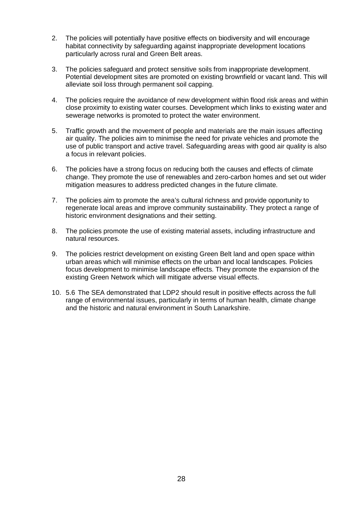- 2. The policies will potentially have positive effects on biodiversity and will encourage habitat connectivity by safeguarding against inappropriate development locations particularly across rural and Green Belt areas.
- 3. The policies safeguard and protect sensitive soils from inappropriate development. Potential development sites are promoted on existing brownfield or vacant land. This will alleviate soil loss through permanent soil capping.
- 4. The policies require the avoidance of new development within flood risk areas and within close proximity to existing water courses. Development which links to existing water and sewerage networks is promoted to protect the water environment.
- 5. Traffic growth and the movement of people and materials are the main issues affecting air quality. The policies aim to minimise the need for private vehicles and promote the use of public transport and active travel. Safeguarding areas with good air quality is also a focus in relevant policies.
- 6. The policies have a strong focus on reducing both the causes and effects of climate change. They promote the use of renewables and zero-carbon homes and set out wider mitigation measures to address predicted changes in the future climate.
- 7. The policies aim to promote the area's cultural richness and provide opportunity to regenerate local areas and improve community sustainability. They protect a range of historic environment designations and their setting.
- 8. The policies promote the use of existing material assets, including infrastructure and natural resources.
- 9. The policies restrict development on existing Green Belt land and open space within urban areas which will minimise effects on the urban and local landscapes. Policies focus development to minimise landscape effects. They promote the expansion of the existing Green Network which will mitigate adverse visual effects.
- 10. 5.6 The SEA demonstrated that LDP2 should result in positive effects across the full range of environmental issues, particularly in terms of human health, climate change and the historic and natural environment in South Lanarkshire.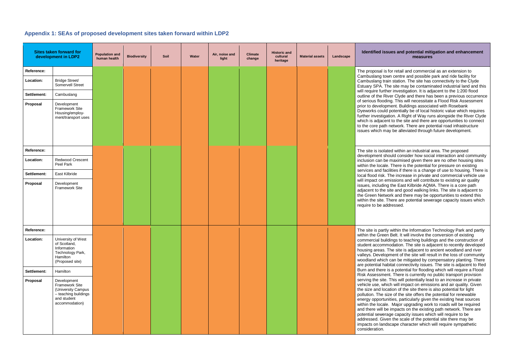#### **Appendix 1: SEAs of proposed development sites taken forward within LDP2**

#### **Idemate is and potential mitigation and enhancement measures**

for retail and commercial as an extension to on centre and possible park and ride facility for in station. The site has connectivity to the Clyde ne site may be contaminated industrial land and this er investigation. It is adjacent to the 1:200 flood ver Clyde and there has been a previous occurrence ng. This will necessitate a Flood Risk Assessment ment. Buildings associated with Rosebank potentially be of local historic value which requires tion. A Right of Way runs alongside the River Clyde nt to the site and there are opportunities to connect network. There are potential road infrastructure av be alleviated through future development.

ted within an industrial area. The proposed ould consider how social interaction and community inclusion maximised given there are no other housing sites There is the potential for pressure on existing ilities if there is a change of use to housing. There is The increase in private and commercial vehicle use missions and will contribute to existing air quality the East Kilbride AQMA. There is a core path site and good walking links. The site is adjacent to ork and there may be opportunities to extend this here are potential sewerage capacity issues which dressed.

within the Information Technology Park and partly Belt. It will involve the conversion of existing dings to teaching buildings and the construction of nodation. The site is adjacent to recently developed The site is adjacent to ancient woodland and river oment of the site will result in the loss of community can be mitigated by compensatory planting. There bitat connectivity issues. The site is adiacent to Red is a potential for flooding which will require a Flood nt. There is currently no public transport provision This will potentially lead to an increase in private ch will impact on emissions and air quality. Given ation of the site there is also potential for light ze of the site offers the potential for renewable ities, particularly given the existing heat sources Major upgrading work to roads will be required impacts on the existing path network. There are ge capacity issues which will require to be an the scale of the potential site there may be scape character which will require sympathetic

|             | <b>Sites taken forward for</b><br>development in LDP2                                                        |  | <b>Biodiversity</b> | Soil | Water | Air, noise and<br>light | <b>Climate</b><br>change | <b>Historic and</b><br>cultural<br>heritage | <b>Material assets</b> | Landscape | Identified issi                                                                                                                                                                                                              |
|-------------|--------------------------------------------------------------------------------------------------------------|--|---------------------|------|-------|-------------------------|--------------------------|---------------------------------------------|------------------------|-----------|------------------------------------------------------------------------------------------------------------------------------------------------------------------------------------------------------------------------------|
| Reference:  |                                                                                                              |  |                     |      |       |                         |                          |                                             |                        |           | The proposal is f                                                                                                                                                                                                            |
| Location:   | <b>Bridge Street/</b><br>Somervell Street                                                                    |  |                     |      |       |                         |                          |                                             |                        |           | Cambuslang tow<br>Cambuslang trai<br>Estuary SPA. Th                                                                                                                                                                         |
| Settlement: | Cambuslang                                                                                                   |  |                     |      |       |                         |                          |                                             |                        |           | will require furthe<br>outline of the Riv                                                                                                                                                                                    |
| Proposal    | Development<br>Framework Site<br>Housing/employ-<br>ment/transport uses                                      |  |                     |      |       |                         |                          |                                             |                        |           | of serious floodir<br>prior to developn<br>Dyeworks could<br>further investigat<br>which is adjacen<br>to the core path<br>issues which ma                                                                                   |
| Reference:  |                                                                                                              |  |                     |      |       |                         |                          |                                             |                        |           | The site is isolate                                                                                                                                                                                                          |
| Location:   | Redwood Crescent<br>Peel Park                                                                                |  |                     |      |       |                         |                          |                                             |                        |           | development sho<br>inclusion can be<br>within the locale.                                                                                                                                                                    |
| Settlement: | East Kilbride                                                                                                |  |                     |      |       |                         |                          |                                             |                        |           | services and fac<br>local flood risk. T                                                                                                                                                                                      |
| Proposal    | Development<br>Framework Site                                                                                |  |                     |      |       |                         |                          |                                             |                        |           | will impact on en<br>issues, including<br>adjacent to the s<br>the Green Netwo<br>within the site. T<br>require to be add                                                                                                    |
| Reference:  |                                                                                                              |  |                     |      |       |                         |                          |                                             |                        |           | The site is partly<br>within the Green                                                                                                                                                                                       |
| Location:   | University of West<br>of Scotland,<br>Information<br>Technology Park,<br>Hamilton<br>(Proposed site)         |  |                     |      |       |                         |                          |                                             |                        |           | commercial build<br>student accomm<br>housing areas. T<br>valleys. Develop<br>woodland which<br>are potential hab                                                                                                            |
| Settlement: | Hamilton                                                                                                     |  |                     |      |       |                         |                          |                                             |                        |           | Burn and there is<br><b>Risk Assessmen</b>                                                                                                                                                                                   |
| Proposal    | Development<br>Framework Site<br>(University Campus<br>- teaching buildings<br>and student<br>accommodation) |  |                     |      |       |                         |                          |                                             |                        |           | serving the site.<br>vehicle use, whic<br>the size and loca<br>pollution. The siz<br>energy opportun<br>within the locale.<br>and there will be<br>potential sewera<br>addressed. Give<br>impacts on lands<br>consideration. |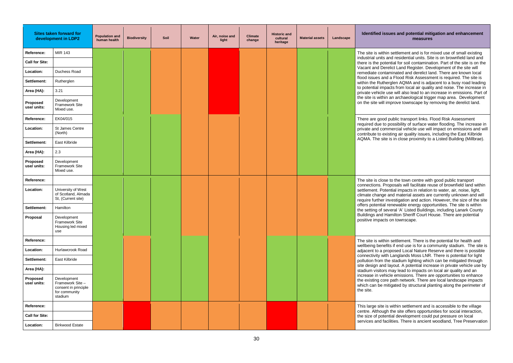#### sues and potential mitigation and enhancement **measures**

in settlement and is for mixed use of small existing and residential units. Site is on brownfield land and ential for soil contamination. Part of the site is on the relict Land Register. Development of the site will aminated and derelict land. There are known local d a Flood Risk Assessment is required. The site is erglen AQMA and is adjacent to a busy road leading pacts from local air quality and noise. The increase in use will also lead to an increase in emissions. Part of n an archaeological trigger map area. Development improve townscape by removing the derelict land.

public transport links. Flood Risk Assessment possibility of surface water flooding. The increase in nmercial vehicle use will impact on emissions and will cisting air quality issues, including the East Kilbride e is in close proximity to a Listed Building (Millbrae).

**Reference:** The town centre with good public transport roposals will facilitate reuse of brownfield land within ential impacts in relation to water, air, noise, light, and material assets are currently unknown and will investigation and action. However, the size of the site renewable energy opportunities. The site is within everal 'A' Listed Buildings, including Lanark County Hamilton Sheriff Court House. There are potential s on townscape.

in settlement. There is the potential for health and fits if end use is for a community stadium. The site is roposed Local Nature Reserve and there is possible th Langlands Moss LNR. There is potential for light he stadium lighting which can be mitigated through I layout. A potential increase in private vehicle use by smay lead to impacts on local air quality and an icle emissions. There are opportunities to enhance te path network. There are local landscape impacts hitigated by structural planting along the perimeter of

is within settlement and is accessible to the village In the site offers opportunities for social interaction, ential development could put pressure on local icilities. There is ancient woodland, Tree Preservation

|                         | <b>Sites taken forward for</b><br>development in LDP2                              | <b>Population and</b><br>human health | <b>Biodiversity</b> | Soil | Water | Air, noise and<br>light | <b>Climate</b><br>change | <b>Historic and</b><br>cultural<br>heritage | <b>Material assets</b> | Landscape | <b>Identified iss</b>                                                       |
|-------------------------|------------------------------------------------------------------------------------|---------------------------------------|---------------------|------|-------|-------------------------|--------------------------|---------------------------------------------|------------------------|-----------|-----------------------------------------------------------------------------|
| Reference:              | <b>MIR 143</b>                                                                     |                                       |                     |      |       |                         |                          |                                             |                        |           | The site is withi                                                           |
| <b>Call for Site:</b>   |                                                                                    |                                       |                     |      |       |                         |                          |                                             |                        |           | industrial units a<br>there is the pote                                     |
| Location:               | Duchess Road                                                                       |                                       |                     |      |       |                         |                          |                                             |                        |           | Vacant and Der<br>remediate conta                                           |
| Settlement:             | Rutherglen                                                                         |                                       |                     |      |       |                         |                          |                                             |                        |           | flood issues and<br>within the Ruthe                                        |
| Area (HA):              | 3.21                                                                               |                                       |                     |      |       |                         |                          |                                             |                        |           | to potential imp<br>private vehicle                                         |
| Proposed<br>use/ units: | Development<br>Framework Site<br>Mixed use.                                        |                                       |                     |      |       |                         |                          |                                             |                        |           | the site is withir<br>on the site will in                                   |
| Reference:              | EK04/015                                                                           |                                       |                     |      |       |                         |                          |                                             |                        |           | There are good                                                              |
| Location:               | St James Centre<br>(North)                                                         |                                       |                     |      |       |                         |                          |                                             |                        |           | required due to<br>private and com<br>contribute to ex                      |
| Settlement:             | East Kilbride                                                                      |                                       |                     |      |       |                         |                          |                                             |                        |           | AQMA. The site                                                              |
| Area (HA):              | 2.3                                                                                |                                       |                     |      |       |                         |                          |                                             |                        |           |                                                                             |
| Proposed<br>use/ units: | Development<br>Framework Site<br>Mixed use.                                        |                                       |                     |      |       |                         |                          |                                             |                        |           |                                                                             |
| Reference:              |                                                                                    |                                       |                     |      |       |                         |                          |                                             |                        |           | The site is close                                                           |
| Location:               | University of West<br>of Scotland, Almada<br>St, (Current site)                    |                                       |                     |      |       |                         |                          |                                             |                        |           | connections. Pr<br>settlement. Pote<br>climate change<br>require further in |
| Settlement:             | Hamilton                                                                           |                                       |                     |      |       |                         |                          |                                             |                        |           | offers potential<br>the setting of se                                       |
| <b>Proposal</b>         | Development<br>Framework Site<br>Housing led mixed<br>use                          |                                       |                     |      |       |                         |                          |                                             |                        |           | Buildings and H<br>positive impacts                                         |
| Reference:              |                                                                                    |                                       |                     |      |       |                         |                          |                                             |                        |           | The site is withi                                                           |
| Location:               | Hurlawcrook Road                                                                   |                                       |                     |      |       |                         |                          |                                             |                        |           | wellbeing benef<br>adjacent to a pr                                         |
| Settlement:             | East Kilbride                                                                      |                                       |                     |      |       |                         |                          |                                             |                        |           | connectivity witl<br>pollution from th                                      |
| Area (HA):              |                                                                                    |                                       |                     |      |       |                         |                          |                                             |                        |           | site design and<br>stadium visitors                                         |
| Proposed<br>use/ units: | Development<br>Framework Site-<br>consent in principle<br>for community<br>stadium |                                       |                     |      |       |                         |                          |                                             |                        |           | increase in vehi<br>the existing cor<br>which can be m<br>the site.         |
| Reference:              |                                                                                    |                                       |                     |      |       |                         |                          |                                             |                        |           | This large site is                                                          |
| <b>Call for Site:</b>   |                                                                                    |                                       |                     |      |       |                         |                          |                                             |                        |           | centre. Althougl<br>the size of pote                                        |
| Location:               | <b>Birkwood Estate</b>                                                             |                                       |                     |      |       |                         |                          |                                             |                        |           | services and fa                                                             |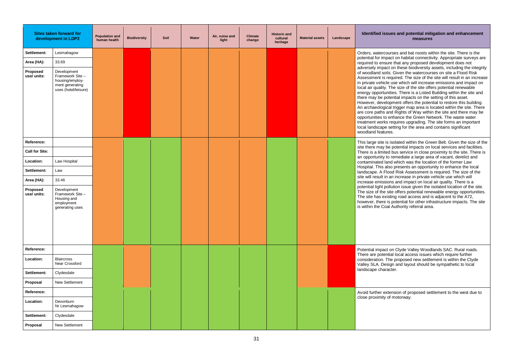#### **IDEA:** Idential mitigation and enhancement **measures**

burses and bat roosts within the site. There is the pact on habitat connectivity. Appropriate surveys are re that any proposed development does not ct on these biodiversity assets, including the integrity Is. Given the watercourses on site a Flood Risk required. The size of the site will result in an increase le use which will increase emissions and impact on The size of the site offers potential renewable nities. There is a Listed Building within the site and otential impacts on the setting of this asset. opment offers the potential to restore this building.  $\frac{1}{2}$  rigaer map area is located within the site. There and Rights of Way within the site and there may be enhance the Green Network. The waste water requires upgrading. The site forms an important setting for the area and contains significant res.

**Reference:** Reference: isolated within the Green Belt. Given the size of the se potential impacts on local services and facilities. ed bus service in close proximity to the site. There is to remediate a large area of vacant, derelict and and which was the location of the former Law Iso presents an opportunity to enhance the local lood Risk Assessment is required. The size of the an increase in private vehicle use which will ons and impact on local air quality. There is a pllution issue given the isolated location of the site. site offers potential renewable energy opportunities.  $\frac{1}{10}$  isting road access and is adjacent to the A72, is potential for other infrastructure impacts. The site al Authority referral area.

on Clyde Valley Woodlands SAC. Rural roads. Itial local access issues which require further The proposed new settlement is within the Clyde sign and layout should be sympathetic to local acter.

tension of proposed settlement to the west due to of motorway.

|                         | Sites taken forward for<br>development in LDP2                                               | <b>Population and</b><br>human health | <b>Biodiversity</b> | Soil | Water | Air, noise and<br>light | <b>Climate</b><br>change | <b>Historic and</b><br>cultural<br>heritage | <b>Material assets</b> | Landscape | <b>Identified iss</b>                                                                                                                                                                                                                                                          |
|-------------------------|----------------------------------------------------------------------------------------------|---------------------------------------|---------------------|------|-------|-------------------------|--------------------------|---------------------------------------------|------------------------|-----------|--------------------------------------------------------------------------------------------------------------------------------------------------------------------------------------------------------------------------------------------------------------------------------|
| Settlement:             | Lesmahagow                                                                                   |                                       |                     |      |       |                         |                          |                                             |                        |           | Orders, waterco                                                                                                                                                                                                                                                                |
| Area (HA):              | 33.69                                                                                        |                                       |                     |      |       |                         |                          |                                             |                        |           | potential for imp<br>required to ensu                                                                                                                                                                                                                                          |
| Proposed<br>use/ units: | Development<br>Framework Site-<br>housing/employ-<br>ment generating<br>uses (hotel/leisure) |                                       |                     |      |       |                         |                          |                                             |                        |           | adversely impad<br>of woodland soil<br>Assessment is r<br>in private vehicle<br>local air quality.<br>energy opportur<br>there may be po<br>However, devel<br>An archaeologic<br>are core paths a<br>opportunities to<br>treatment works<br>local landscape<br>woodland featur |
| Reference:              |                                                                                              |                                       |                     |      |       |                         |                          |                                             |                        |           | This large site is                                                                                                                                                                                                                                                             |
| <b>Call for Site:</b>   |                                                                                              |                                       |                     |      |       |                         |                          |                                             |                        |           | site there may b<br>There is a limite                                                                                                                                                                                                                                          |
| Location:               | Law Hospital                                                                                 |                                       |                     |      |       |                         |                          |                                             |                        |           | an opportunity to<br>contaminated la                                                                                                                                                                                                                                           |
| Settlement:             | Law                                                                                          |                                       |                     |      |       |                         |                          |                                             |                        |           | Hospital. This al<br>landscape. A Fl                                                                                                                                                                                                                                           |
| Area (HA):              | 33.46                                                                                        |                                       |                     |      |       |                         |                          |                                             |                        |           | site will result in<br>increase emissi                                                                                                                                                                                                                                         |
| Proposed<br>use/ units: | Development<br>Framework Site-<br>Housing and<br>employment<br>generating uses               |                                       |                     |      |       |                         |                          |                                             |                        |           | potential light po<br>The size of the :<br>The site has exi<br>however, there i<br>is within the Coa                                                                                                                                                                           |
| Reference:              |                                                                                              |                                       |                     |      |       |                         |                          |                                             |                        |           | Potential impact<br>There are poten                                                                                                                                                                                                                                            |
| Location:               | <b>Blaircross</b><br>Near Crossford                                                          |                                       |                     |      |       |                         |                          |                                             |                        |           | consideration. T<br>Valley SLA. Des<br>landscape chara                                                                                                                                                                                                                         |
| Settlement:             | Clydesdale                                                                                   |                                       |                     |      |       |                         |                          |                                             |                        |           |                                                                                                                                                                                                                                                                                |
| Proposal                | New Settlement                                                                               |                                       |                     |      |       |                         |                          |                                             |                        |           |                                                                                                                                                                                                                                                                                |
| Reference:              |                                                                                              |                                       |                     |      |       |                         |                          |                                             |                        |           | Avoid further ex<br>close proximity                                                                                                                                                                                                                                            |
| Location:               | Devonburn<br>Nr Lesmahagow                                                                   |                                       |                     |      |       |                         |                          |                                             |                        |           |                                                                                                                                                                                                                                                                                |
| Settlement:             | Clydesdale                                                                                   |                                       |                     |      |       |                         |                          |                                             |                        |           |                                                                                                                                                                                                                                                                                |
| Proposal                | New Settlement                                                                               |                                       |                     |      |       |                         |                          |                                             |                        |           |                                                                                                                                                                                                                                                                                |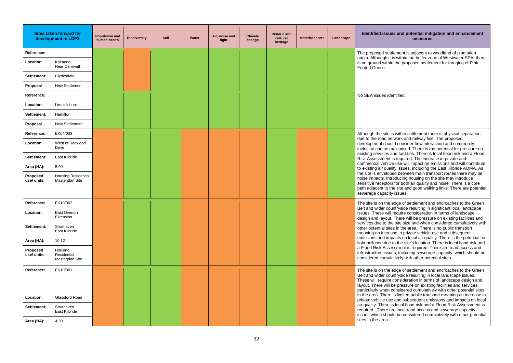#### **IDES and potential mitigation and enhancement measures**

ettlement is adjacent to woodland of plantation it is within the buffer zone of Westwater SPA, there thin the proposed settlement for foraging of Pink

te is within settlement there is physical separation network and railway line. The proposed ould consider how interaction and community maximised. There is the potential for pressure on s and facilities. There is local flood risk and a Flood nt is required. The increase in private and icle use will impact on emissions and will contribute uality issues, including the East Kilbride AQMA. As oped between main transport routes there may be ntroducing housing on the site may introduce tors for both air quality and noise. There is a core the site and good walking links. There are potential city issues.

**Reference:** Extement and encroaches to the Green countryside resulting in significant local landscape vill require consideration in terms of landscape ut. There will be pressure on existing facilities and the site size and when considered cumulatively with sites in the area. There is no public transport rease in private vehicle use and subsequent mpacts on local air quality. There is the potential for ue to the site's location. There is local flood risk and sessment is required. There are road access and sues, including sewerage capacity, which should be ulatively with other potential sites.

**Reference:** Extement and encroaches to the Green countryside resulting in local landscape issues. re consideration in terms of landscape design and ill be pressure on existing facilities and services, n considered cumulatively with other potential sites re is limited public transport meaning an increase in use and subsequent emissions and impacts on local e is local flood risk and a Flood Risk Assessment is are local road access and sewerage capacity iould be considered cumulatively with other potential

|                         | Sites taken forward for<br>development in LDP2 | <b>Population and</b><br>human health | <b>Biodiversity</b> | Soil | Water | Air, noise and<br>light | <b>Climate</b><br>change | <b>Historic and</b><br>cultural<br>heritage | <b>Material assets</b> | Landscape | <b>Identified issues and</b>                                                                                                                     |
|-------------------------|------------------------------------------------|---------------------------------------|---------------------|------|-------|-------------------------|--------------------------|---------------------------------------------|------------------------|-----------|--------------------------------------------------------------------------------------------------------------------------------------------------|
| Reference:              |                                                |                                       |                     |      |       |                         |                          |                                             |                        |           | The proposed settlement                                                                                                                          |
| Location:               | Kaimend<br>Near Carnwath                       |                                       |                     |      |       |                         |                          |                                             |                        |           | origin. Although it is withir<br>is no ground within the pr<br>Footed Geese.                                                                     |
| Settlement:             | Clydesdale                                     |                                       |                     |      |       |                         |                          |                                             |                        |           |                                                                                                                                                  |
| Proposal                | <b>New Settlement</b>                          |                                       |                     |      |       |                         |                          |                                             |                        |           |                                                                                                                                                  |
| Reference:              |                                                |                                       |                     |      |       |                         |                          |                                             |                        |           | No SEA issues identified.                                                                                                                        |
| Location:               | Limekilnburn                                   |                                       |                     |      |       |                         |                          |                                             |                        |           |                                                                                                                                                  |
| Settlement:             | Hamilton                                       |                                       |                     |      |       |                         |                          |                                             |                        |           |                                                                                                                                                  |
| Proposal                | New Settlement                                 |                                       |                     |      |       |                         |                          |                                             |                        |           |                                                                                                                                                  |
| Reference:              | EK04/003                                       |                                       |                     |      |       |                         |                          |                                             |                        |           | Although the site is within                                                                                                                      |
| Location:               | West of Redwood<br><b>Drive</b>                |                                       |                     |      |       |                         |                          |                                             |                        |           | due to the road network a<br>development should cons<br>inclusion can be maximis                                                                 |
| Settlement:             | East Kilbride                                  |                                       |                     |      |       |                         |                          |                                             |                        |           | existing services and faci<br>Risk Assessment is requi                                                                                           |
| Area (HA):              | 5.90                                           |                                       |                     |      |       |                         |                          |                                             |                        |           | commercial vehicle use w<br>to existing air quality issu                                                                                         |
| Proposed<br>use/ units: | <b>Housing Residential</b><br>Masterplan Site  |                                       |                     |      |       |                         |                          |                                             |                        |           | the site is enveloped betw<br>noise impacts. Introducin<br>sensitive receptors for bo<br>path adjacent to the site a<br>sewerage capacity issues |
| Reference:              | EK10/002                                       |                                       |                     |      |       |                         |                          |                                             |                        |           | The site is on the edge of                                                                                                                       |
| Location:               | <b>East Overton</b><br>Extension               |                                       |                     |      |       |                         |                          |                                             |                        |           | Belt and wider countrysid<br>issues. These will require<br>design and layout. There                                                              |
| Settlement:             | Strathaven<br>East Kilbride                    |                                       |                     |      |       |                         |                          |                                             |                        |           | services due to the site si<br>other potential sites in the<br>meaning an increase in p                                                          |
| Area (HA):              | 10.12                                          |                                       |                     |      |       |                         |                          |                                             |                        |           | emissions and impacts or<br>light pollution due to the s                                                                                         |
| Proposed<br>use/ units: | Housing<br>Residential<br>Masterplan Site      |                                       |                     |      |       |                         |                          |                                             |                        |           | a Flood Risk Assessment<br>infrastructure issues, incl<br>considered cumulatively v                                                              |
| Reference:              | EK10/001                                       |                                       |                     |      |       |                         |                          |                                             |                        |           | The site is on the edge of<br>Belt and wider countrysid<br>These will require conside<br>layout. There will be pres<br>particularly when conside |
| Location:               | Glassford Road                                 |                                       |                     |      |       |                         |                          |                                             |                        |           | in the area. There is limite<br>private vehicle use and so                                                                                       |
| Settlement:             | Strathaven<br>East Kilbride                    |                                       |                     |      |       |                         |                          |                                             |                        |           | air quality. There is local<br>required. There are local<br>issues which should be c                                                             |
| Area (HA):              | 4.30                                           |                                       |                     |      |       |                         |                          |                                             |                        |           | sites in the area.                                                                                                                               |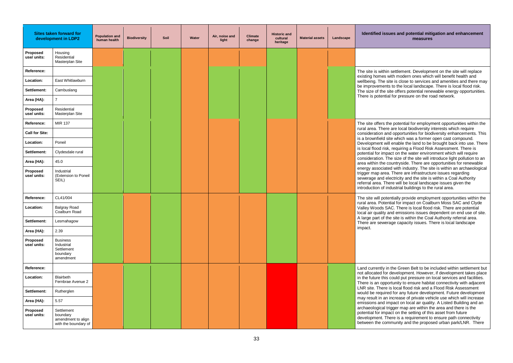#### **IDEA:** Idential mitigation and enhancement **measures**

in settlement. Development on the site will replace with modern ones which will benefit health and site is close to services and amenities and there may ts to the local landscape. There is local flood risk. site offers potential renewable energy opportunities. al for pressure on the road network.

he potential for employment opportunities within the e are local biodiversity interests which require nd opportunities for biodiversity enhancements. This site which was a former open cast compound. ill enable the land to be brought back into use. There k, requiring a Flood Risk Assessment. There is pact on the water environment which will require The size of the site will introduce light pollution to an countryside. There are opportunities for renewable ed with industry. The site is within an archaeological a. There are infrastructure issues regarding electricity and the site is within a Coal Authority referral will be local landscape issues given the  $\,$ ndustrial buildings to the rural area. $\,$ 

entially provide employment opportunities within the ntial for impact on Coalburn Moss SAC and Clyde SAC. There is local flood risk. There are potential and emissions issues dependent on end use of site. he site is within the Coal Authority referral area. rage capacity issues. There is local landscape

**Reference:** Referrence: Currently in the Green Belt to be included within settlement but development. However, if development takes place icould put pressure on local services and facilities. ortunity to ensure habitat connectivity with adjacent is local flood risk and a Flood Risk Assessment ed for any future development. Future development increase of private vehicle use which will increase mpact on local air quality. A Listed Building and an trigger map are within the area and there is the pact on the setting of this asset from future here is a requirement to ensure path connectivity mmunity and the proposed urban park/LNR. There

|                         | <b>Sites taken forward for</b><br>development in LDP2                | <b>Population and</b><br>human health | <b>Biodiversity</b> | Soil | Water | Air, noise and<br>light | <b>Climate</b><br>change | <b>Historic and</b><br>cultural<br>heritage | <b>Material assets</b> | Landscape | <b>Identified iss</b>                                                                            |
|-------------------------|----------------------------------------------------------------------|---------------------------------------|---------------------|------|-------|-------------------------|--------------------------|---------------------------------------------|------------------------|-----------|--------------------------------------------------------------------------------------------------|
| Proposed<br>use/ units: | Housing<br>Residential<br>Masterplan Site                            |                                       |                     |      |       |                         |                          |                                             |                        |           |                                                                                                  |
| Reference:              |                                                                      |                                       |                     |      |       |                         |                          |                                             |                        |           | The site is withir                                                                               |
| Location:               | East Whitlawburn                                                     |                                       |                     |      |       |                         |                          |                                             |                        |           | existing homes<br>wellbeing. The s                                                               |
| Settlement:             | Cambuslang                                                           |                                       |                     |      |       |                         |                          |                                             |                        |           | be improvement<br>The size of the :                                                              |
| Area (HA):              | $\overline{7}$                                                       |                                       |                     |      |       |                         |                          |                                             |                        |           | There is potentia                                                                                |
| Proposed<br>use/ units: | Residential<br>Masterplan Site                                       |                                       |                     |      |       |                         |                          |                                             |                        |           |                                                                                                  |
| Reference:              | MIR 137                                                              |                                       |                     |      |       |                         |                          |                                             |                        |           | The site offers tl                                                                               |
| <b>Call for Site:</b>   |                                                                      |                                       |                     |      |       |                         |                          |                                             |                        |           | rural area. Ther<br>consideration ar                                                             |
| Location:               | Poneil                                                               |                                       |                     |      |       |                         |                          |                                             |                        |           | is a brownfield s<br>Development wi                                                              |
| Settlement:             | Clydesdale rural                                                     |                                       |                     |      |       |                         |                          |                                             |                        |           | is local flood risl<br>potential for imp                                                         |
| Area (HA):              | 45.0                                                                 |                                       |                     |      |       |                         |                          |                                             |                        |           | consideration. T<br>area within the o                                                            |
| Proposed<br>use/ units: | Industrial<br>(Extension to Poneil<br>SEIL)                          |                                       |                     |      |       |                         |                          |                                             |                        |           | energy associat<br>trigger map area<br>sewerage and e<br>referral area. Th<br>introduction of ir |
| Reference:              | CL41/004                                                             |                                       |                     |      |       |                         |                          |                                             |                        |           | The site will pote                                                                               |
| Location:               | <b>Balgray Road</b><br>Coalburn Road                                 |                                       |                     |      |       |                         |                          |                                             |                        |           | rural area. Poter<br>Valley Woods S<br>local air quality                                         |
| Settlement:             | Lesmahagow                                                           |                                       |                     |      |       |                         |                          |                                             |                        |           | A large part of tl<br>There are sewer                                                            |
| Area (HA):              | 2.39                                                                 |                                       |                     |      |       |                         |                          |                                             |                        |           | impact.                                                                                          |
| Proposed<br>use/ units: | <b>Business</b><br>Industrial<br>Settlement<br>boundary<br>amendment |                                       |                     |      |       |                         |                          |                                             |                        |           |                                                                                                  |
| Reference:              |                                                                      |                                       |                     |      |       |                         |                          |                                             |                        |           | Land currently in                                                                                |
| Location:               | Blairbeth<br>Fernbrae Avenue 2                                       |                                       |                     |      |       |                         |                          |                                             |                        |           | not allocated for<br>in the future this<br>There is an oppo                                      |
| Settlement:             | Rutherglen                                                           |                                       |                     |      |       |                         |                          |                                             |                        |           | LNR site. There<br>would be require                                                              |
| Area (HA):              | 5.57                                                                 |                                       |                     |      |       |                         |                          |                                             |                        |           | may result in an<br>emissions and i                                                              |
| Proposed<br>use/ units: | Settlement<br>boundary<br>amendment to align<br>with the boundary of |                                       |                     |      |       |                         |                          |                                             |                        |           | archaeological t<br>potential for imp<br>development. Tl<br>between the cor                      |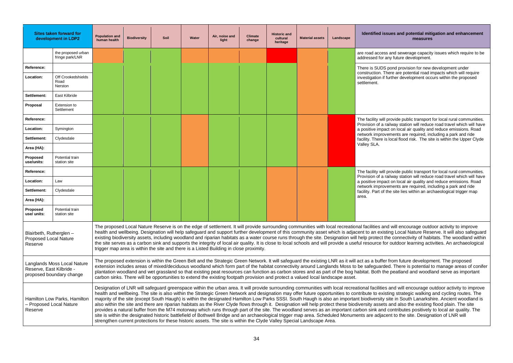#### sues and potential mitigation and enhancement **measures**

s and sewerage capacity issues which require to be any future development.

**Reference:**  $\mathbf{F}$  pond provision for new development under here are potential road impacts which will require further development occurs within the proposed

provide public transport for local rural communities. railway station will reduce road travel which will have ict on local air quality and reduce emissions. Road ements are required, including a park and ride focal flood risk. The site is within the Upper Clyde

provide public transport for local rural communities. railway station will reduce road travel which will have act on local air quality and reduce emissions. Road ements are required, including a park and ride the site lies within an archaeological trigger map

Id will encourage outdoor activity to improve ting Local Nature Reserve. It will also safeguard he connectivity of habitats. The woodland within or outdoor learning activities. An archaeological

r from future development. The proposed ed. There is potential to manage areas of conifer e peatland and woodland serve as important

and will encourage outdoor activity to improve sting strategic walking and cycling routes. The site in South Lanarkshire. Ancient woodland is and also the existing flood plain. The site contributes positively to local air quality. The ent to the site. Designation of LNR will

|                                                                                                                                                                                                                                                                                                                                                                                                                                                                                                                                                                                                                                                                                                                                                                                                                                                                                                                                                                                                                                                                                                 | <b>Sites taken forward for</b><br>development in LDP2 | <b>Population and</b><br>human health | <b>Biodiversity</b> | Soil | Water | Air, noise and<br>light | <b>Climate</b><br>change | <b>Historic and</b><br>cultural<br>heritage | <b>Material assets</b> | Landscape | <b>Identified iss</b>                                 |
|-------------------------------------------------------------------------------------------------------------------------------------------------------------------------------------------------------------------------------------------------------------------------------------------------------------------------------------------------------------------------------------------------------------------------------------------------------------------------------------------------------------------------------------------------------------------------------------------------------------------------------------------------------------------------------------------------------------------------------------------------------------------------------------------------------------------------------------------------------------------------------------------------------------------------------------------------------------------------------------------------------------------------------------------------------------------------------------------------|-------------------------------------------------------|---------------------------------------|---------------------|------|-------|-------------------------|--------------------------|---------------------------------------------|------------------------|-----------|-------------------------------------------------------|
|                                                                                                                                                                                                                                                                                                                                                                                                                                                                                                                                                                                                                                                                                                                                                                                                                                                                                                                                                                                                                                                                                                 | the proposed urban<br>fringe park/LNR                 |                                       |                     |      |       |                         |                          |                                             |                        |           | are road access<br>addressed for a                    |
| Reference:                                                                                                                                                                                                                                                                                                                                                                                                                                                                                                                                                                                                                                                                                                                                                                                                                                                                                                                                                                                                                                                                                      |                                                       |                                       |                     |      |       |                         |                          |                                             |                        |           | There is SUDS                                         |
| Location:                                                                                                                                                                                                                                                                                                                                                                                                                                                                                                                                                                                                                                                                                                                                                                                                                                                                                                                                                                                                                                                                                       | Off Crookedshields<br>Road<br>Nerston                 |                                       |                     |      |       |                         |                          |                                             |                        |           | construction. Th<br>investigation if f<br>settlement. |
| Settlement:                                                                                                                                                                                                                                                                                                                                                                                                                                                                                                                                                                                                                                                                                                                                                                                                                                                                                                                                                                                                                                                                                     | East Kilbride                                         |                                       |                     |      |       |                         |                          |                                             |                        |           |                                                       |
| Proposal                                                                                                                                                                                                                                                                                                                                                                                                                                                                                                                                                                                                                                                                                                                                                                                                                                                                                                                                                                                                                                                                                        | Extension to<br>Settlement                            |                                       |                     |      |       |                         |                          |                                             |                        |           |                                                       |
| Reference:                                                                                                                                                                                                                                                                                                                                                                                                                                                                                                                                                                                                                                                                                                                                                                                                                                                                                                                                                                                                                                                                                      |                                                       |                                       |                     |      |       |                         |                          |                                             |                        |           | The facility will                                     |
| Location:                                                                                                                                                                                                                                                                                                                                                                                                                                                                                                                                                                                                                                                                                                                                                                                                                                                                                                                                                                                                                                                                                       | Symington                                             |                                       |                     |      |       |                         |                          |                                             |                        |           | Provision of a ra<br>a positive impa                  |
| Settlement:                                                                                                                                                                                                                                                                                                                                                                                                                                                                                                                                                                                                                                                                                                                                                                                                                                                                                                                                                                                                                                                                                     | Clydesdale                                            |                                       |                     |      |       |                         |                          |                                             |                        |           | network improv<br>facility. There is                  |
| Area (HA):                                                                                                                                                                                                                                                                                                                                                                                                                                                                                                                                                                                                                                                                                                                                                                                                                                                                                                                                                                                                                                                                                      |                                                       |                                       |                     |      |       |                         |                          |                                             |                        |           | Valley SLA.                                           |
| Proposed<br>use/units:                                                                                                                                                                                                                                                                                                                                                                                                                                                                                                                                                                                                                                                                                                                                                                                                                                                                                                                                                                                                                                                                          | Potential train<br>station site                       |                                       |                     |      |       |                         |                          |                                             |                        |           |                                                       |
| Reference:                                                                                                                                                                                                                                                                                                                                                                                                                                                                                                                                                                                                                                                                                                                                                                                                                                                                                                                                                                                                                                                                                      |                                                       |                                       |                     |      |       |                         |                          |                                             |                        |           | The facility will<br>Provision of a ra                |
| Location:                                                                                                                                                                                                                                                                                                                                                                                                                                                                                                                                                                                                                                                                                                                                                                                                                                                                                                                                                                                                                                                                                       | Law                                                   |                                       |                     |      |       |                         |                          |                                             |                        |           | a positive impar                                      |
| Settlement:                                                                                                                                                                                                                                                                                                                                                                                                                                                                                                                                                                                                                                                                                                                                                                                                                                                                                                                                                                                                                                                                                     | Clydesdale                                            |                                       |                     |      |       |                         |                          |                                             |                        |           | network improv<br>facility. Part of t                 |
| Area (HA):                                                                                                                                                                                                                                                                                                                                                                                                                                                                                                                                                                                                                                                                                                                                                                                                                                                                                                                                                                                                                                                                                      |                                                       |                                       |                     |      |       |                         |                          |                                             |                        |           | area.                                                 |
| Proposed<br>use/ units:                                                                                                                                                                                                                                                                                                                                                                                                                                                                                                                                                                                                                                                                                                                                                                                                                                                                                                                                                                                                                                                                         | Potential train<br>station site                       |                                       |                     |      |       |                         |                          |                                             |                        |           |                                                       |
| The proposed Local Nature Reserve is on the edge of settlement. It will provide surrounding communities with local recreational facilities an<br>health and wellbeing. Designation will help safeguard and support further development of this community asset which is adjacent to an exist<br>Blairbeth, Rutherglen -<br>existing biodiversity assets, including woodland and riparian habitats as a water course runs through the site. Designation will help protect th<br><b>Proposed Local Nature</b><br>the site serves as a carbon sink and supports the integrity of local air quality. It is close to local schools and will provide a useful resource fo<br>Reserve<br>trigger map area is within the site and there is a Listed Building in close proximity.                                                                                                                                                                                                                                                                                                                        |                                                       |                                       |                     |      |       |                         |                          |                                             |                        |           |                                                       |
| The proposed extension is within the Green Belt and the Strategic Green Network. It will safeguard the existing LNR as it will act as a buffer<br><b>Langlands Moss Local Nature</b><br>extension includes areas of mixed/deciduous woodland which form part of the habitat connectivity around Langlands Moss to be safeguarde<br>Reserve, East Kilbride -<br>plantation woodland and wet grassland so that existing peat resources can function as carbon stores and as part of the bog habitat. Both the<br>proposed boundary change<br>carbon sinks. There will be opportunities to extend the existing footpath provision and protect a valued local landscape asset.                                                                                                                                                                                                                                                                                                                                                                                                                      |                                                       |                                       |                     |      |       |                         |                          |                                             |                        |           |                                                       |
| Designation of LNR will safeguard greenspace within the urban area. It will provide surrounding communities with local recreational facilities<br>health and wellbeing. The site is also within the Strategic Green Network and designation may offer future opportunities to contribute to exis<br>majority of the site (except South Haugh) is within the designated Hamilton Low Parks SSSI. South Haugh is also an important biodiversity s<br>Hamilton Low Parks, Hamilton<br>- Proposed Local Nature<br>also within the site and there are riparian habitats as the River Clyde flows through it. Designation will help protect these biodiversity assets<br>provides a natural buffer from the M74 motorway which runs through part of the site. The woodland serves as an important carbon sink and<br>Reserve<br>site is within the designated historic battlefield of Bothwell Bridge and an archaeological trigger map area. Scheduled Monuments are adjace<br>strengthen current protections for these historic assets. The site is within the Clyde Valley Special Landscape Area. |                                                       |                                       |                     |      |       |                         |                          |                                             |                        |           |                                                       |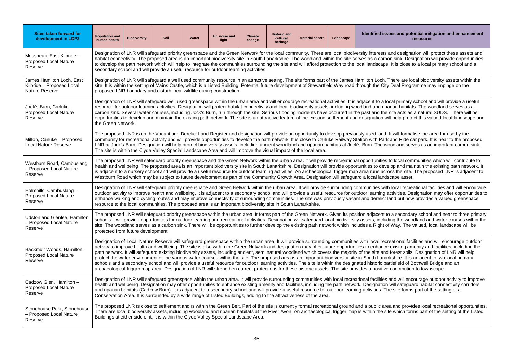#### sues and potential mitigation and enhancement **measures**

and designation will protect these assets and it and designation will protect these assets and oon sink. Designation will provide opportunities e. It is close to a local primary school and a

There are local biodiversity assets within the ty Deal Programme may impinge on the

local primary school and will provide a useful barian habitats. The woodland serves as a e site acts as a natural SUDS. There will be will help protect this valued local landscape and

. It will formalise the area for use by the k and Ride car park. It is near to the proposed woodland serves as an important carbon sink.

s to local communities which will contribute to relop and maintain the existing path network. It ross the site. The proposed LNR is adjacent to<br>Iscape asset.

th local recreational facilities and will encourage activities. Designation may offer opportunities to land but now provides a valued greenspace

to a secondary school and near to three primary iding the woodland and water courses within the of Way. The valued, local landscape will be

creational facilities and will encourage outdoor e existing amenity and facilities, including the d forest soils. Designation of LNR will help arkshire. It is adjacent to two local primary attlefield of Bothwell Bridge and an re contribution to townscape.

and will encourage outdoor activity to improve n will safeguard habitat connectivity corridors The site forms part of the setting of a

rea and provides local recreational opportunities. ite which forms part of the setting of the Listed

| <b>Sites taken forward for</b><br>development in LDP2                           | <b>Population and</b><br>human health | <b>Biodiversity</b>                                                                                                                                                                                                                                                                                                                                                                                                                                                                                                                                                                                                                                                                     | Soil | Water | Air, noise and<br>light                                                                                            | <b>Climate</b><br>change | <b>Historic and</b><br>cultural<br>heritage | <b>Material assets</b> | Landscape | Identified issues and pote                                                                                                                                                                                                                                                                                                                                                                                                                                                                                                                                                                                                                                                                                                                                                                                                                                                                                                                                                                     |  |
|---------------------------------------------------------------------------------|---------------------------------------|-----------------------------------------------------------------------------------------------------------------------------------------------------------------------------------------------------------------------------------------------------------------------------------------------------------------------------------------------------------------------------------------------------------------------------------------------------------------------------------------------------------------------------------------------------------------------------------------------------------------------------------------------------------------------------------------|------|-------|--------------------------------------------------------------------------------------------------------------------|--------------------------|---------------------------------------------|------------------------|-----------|------------------------------------------------------------------------------------------------------------------------------------------------------------------------------------------------------------------------------------------------------------------------------------------------------------------------------------------------------------------------------------------------------------------------------------------------------------------------------------------------------------------------------------------------------------------------------------------------------------------------------------------------------------------------------------------------------------------------------------------------------------------------------------------------------------------------------------------------------------------------------------------------------------------------------------------------------------------------------------------------|--|
| Mossneuk, East Kilbride -<br><b>Proposed Local Nature</b><br>Reserve            |                                       | Designation of LNR will safeguard priority greenspace and the Green Network for the local community. There are local biodiversity interests and designat<br>habitat connectivity. The proposed area is an important biodiversity site in South Lanarkshire. The woodland within the site serves as a carbon sink. Desi<br>to develop the path network which will help to integrate the communities surrounding the site and will afford protection to the local landscape. It is close to<br>secondary school and will provide a useful resource for outdoor learning activities.                                                                                                       |      |       |                                                                                                                    |                          |                                             |                        |           |                                                                                                                                                                                                                                                                                                                                                                                                                                                                                                                                                                                                                                                                                                                                                                                                                                                                                                                                                                                                |  |
| James Hamilton Loch, East<br>Kilbride - Proposed Local<br><b>Nature Reserve</b> |                                       | Designation of LNR will safeguard a well used community resource in an attractive setting. The site forms part of the James Hamilton Loch. There are loc<br>site. It is within the setting of Mains Castle, which is a Listed Building. Potential future development of Stewartfield Way road through the City Deal Progra<br>proposed LNR boundary and disturb local wildlife during construction.                                                                                                                                                                                                                                                                                     |      |       |                                                                                                                    |                          |                                             |                        |           |                                                                                                                                                                                                                                                                                                                                                                                                                                                                                                                                                                                                                                                                                                                                                                                                                                                                                                                                                                                                |  |
| Jock's Burn, Carluke -<br><b>Proposed Local Nature</b><br>Reserve               |                                       | Designation of LNR will safeguard well used greenspace within the urban area and will encourage recreational activities. It is adjacent to a local primary s<br>resource for outdoor learning activities. Designation will protect habitat connectivity and local biodiversity assets, including woodland and riparian habitats<br>carbon sink. Several water courses, including Jock's Burn, run through the site. Serious flooding incidents have occurred in the past and the site acts as a<br>opportunities to develop and maintain the existing path network. The site is an attractive feature of the existing settlement and designation will help proteo<br>the Green Network. |      |       |                                                                                                                    |                          |                                             |                        |           |                                                                                                                                                                                                                                                                                                                                                                                                                                                                                                                                                                                                                                                                                                                                                                                                                                                                                                                                                                                                |  |
| Milton, Carluke - Proposed<br><b>Local Nature Reserve</b>                       |                                       |                                                                                                                                                                                                                                                                                                                                                                                                                                                                                                                                                                                                                                                                                         |      |       | The site is within the Clyde Valley Special Landscape Area and will improve the visual impact of the local area.   |                          |                                             |                        |           | The proposed LNR is on the Vacant and Derelict Land Register and designation will provide an opportunity to develop previously used land. It will formali<br>community for recreational activity and will provide opportunities to develop the path network. It is close to Carluke Railway Station with Park and Ride ca<br>LNR at Jock's Burn. Designation will help protect biodiversity assets, including ancient woodland and riparian habitats at Jock's Burn. The woodland serv                                                                                                                                                                                                                                                                                                                                                                                                                                                                                                         |  |
| Westburn Road, Cambuslang<br>- Proposed Local Nature<br>Reserve                 |                                       |                                                                                                                                                                                                                                                                                                                                                                                                                                                                                                                                                                                                                                                                                         |      |       |                                                                                                                    |                          |                                             |                        |           | The proposed LNR will safeguard priority greenspace and the Green Network within the urban area. It will provide recreational opportunities to local comi<br>health and wellbeing. The proposed area is an important biodiversity site in South Lanarkshire. Designation will provide opportunities to develop and mair<br>is adjacent to a nursery school and will provide a useful resource for outdoor learning activities. An archaeological trigger map area runs across the site.<br>Westburn Road which may be subject to future development as part of the Community Growth Area. Designation will safeguard a local landscape asset.                                                                                                                                                                                                                                                                                                                                                  |  |
| Holmhills, Cambuslang -<br><b>Proposed Local Nature</b><br>Reserve              |                                       |                                                                                                                                                                                                                                                                                                                                                                                                                                                                                                                                                                                                                                                                                         |      |       | resource to the local communities. The proposed area is an important biodiversity site in South Lanarkshire.       |                          |                                             |                        |           | Designation of LNR will safeguard priority greenspace and Green Network within the urban area. It will provide surrounding communities with local recrea<br>outdoor activity to improve health and wellbeing. It is adjacent to a secondary school and will provide a useful resource for outdoor learning activities. Des<br>enhance walking and cycling routes and may improve connectivity of surrounding communities. The site was previously vacant and derelict land but now                                                                                                                                                                                                                                                                                                                                                                                                                                                                                                             |  |
| Udston and Glenlee, Hamilton<br>- Proposed Local Nature<br>Reserve              | protected from future development     |                                                                                                                                                                                                                                                                                                                                                                                                                                                                                                                                                                                                                                                                                         |      |       |                                                                                                                    |                          |                                             |                        |           | The proposed LNR will safeguard priority greenspace within the urban area. It forms part of the Green Network. Given its position adjacent to a secondar<br>schools it will provide opportunities for outdoor learning and recreational activities. Designation will safeguard local biodiversity assets, including the wood<br>site. The woodland serves as a carbon sink. There will be opportunities to further develop the existing path network which includes a Right of Way. The v                                                                                                                                                                                                                                                                                                                                                                                                                                                                                                      |  |
| Backmuir Woods, Hamilton -<br><b>Proposed Local Nature</b><br>Reserve           |                                       |                                                                                                                                                                                                                                                                                                                                                                                                                                                                                                                                                                                                                                                                                         |      |       |                                                                                                                    |                          |                                             |                        |           | Designation of Local Nature Reserve will safeguard greenspace within the urban area. It will provide surrounding communities with local recreational facil<br>activity to improve health and wellbeing. The site is also within the Green Network and designation may offer future opportunities to enhance existing ame<br>path network. It will safeguard existing biodiversity assets, including ancient, semi natural woodland which covers the majority of the site and forest soils.<br>protect the water environment of the various water courses within the site. The proposed area is an important biodiversity site in South Lanarkshire. It is a<br>schools and a secondary school and will provide a useful resource for outdoor learning activities. The site is within the designated historic battlefield of Be<br>archaeological trigger map area. Designation of LNR will strengthen current protections for these historic assets. The site provides a positive contribution |  |
| Cadzow Glen, Hamilton -<br><b>Proposed Local Nature</b><br>Reserve              |                                       |                                                                                                                                                                                                                                                                                                                                                                                                                                                                                                                                                                                                                                                                                         |      |       | Conservation Area. It is surrounded by a wide range of Listed Buildings, adding to the attractiveness of the area. |                          |                                             |                        |           | Designation of LNR will safeguard greenspace within the urban area. It will provide surrounding communities with local recreational facilities and will enco<br>health and wellbeing. Designation may offer opportunities to enhance existing amenity and facilities, including the path network. Designation will safegua<br>and riparian habitats (Cadzow Burn). It is adjacent to a secondary school and will provide a useful resource for outdoor learning activities. The site forms                                                                                                                                                                                                                                                                                                                                                                                                                                                                                                     |  |
| Stonehouse Park, Stonehouse<br>- Proposed Local Nature<br>Reserve               |                                       |                                                                                                                                                                                                                                                                                                                                                                                                                                                                                                                                                                                                                                                                                         |      |       | Buildings at either side of it. It is within the Clyde Valley Special Landscape Area.                              |                          |                                             |                        |           | The proposed LNR is close to settlement and is within the Green Belt. Part of the site is currently formal recreational ground and a public area and provid<br>There are local biodiversity assets, including woodland and riparian habitats at the River Avon. An archaeological trigger map is within the site which form                                                                                                                                                                                                                                                                                                                                                                                                                                                                                                                                                                                                                                                                    |  |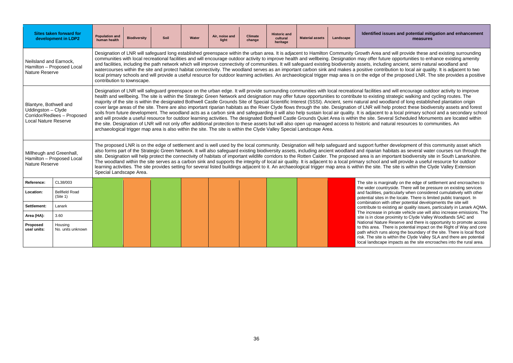#### **Identified issues and potential mitigation and enhancement measures**

nd will provide these and existing surrounding ire opportunities to enhance existing amenity ing ancient, semi natural woodland and bution to local air quality. It is adjacent to two the proposed LNR. The site provides a positive

nd will encourage outdoor activity to improve strategic walking and cycling routes. The odland of long established plantation origin elp protect these biodiversity assets and forest o a local primary school and a secondary school eral Scheduled Monuments are located within tural resources to communities. An

Ince development of this community asset which used and is well and support function will help safeguard and support  $d$ abitats as several water courses run through the portant biodiversity site in South Lanarkshire. d will provide a useful resource for outdoor he site is within the Clyde Valley Extension

ginally on the edge of settlement and encroaches to tryside. There will be pressure on existing services articularly when considered cumulatively with other n the locale. There is limited public transport. In th other potential developments the site will isting air quality issues, particularly in Lanark AQMA. private vehicle use will also increase emissions. The proximity to Clyde Valley Woodlands SAC and Reserve and there is opportunity to promote access here is potential impact on the Right of Way and core along the boundary of the site. There is local flood within the Clyde Valley SLA and there are potential  $\epsilon$  impacts as the site encroaches into the rural area.

|                                                                             | <b>Sites taken forward for</b><br>development in LDP2 | <b>Population and</b><br>human health                                                                                                                                                                                                                                                                                                                                                                                                                                                                                                                                                                                                                                                                                                                                                                                                                                                                                                                                                                                                                                                                                                                                                    | <b>Biodiversity</b> | <b>Soil</b> | Water | Air, noise and<br>light | <b>Climate</b><br>change | <b>Historic and</b><br>cultural<br>heritage | <b>Material assets</b> | Landscape | <b>Identified iss</b>                                                                                                                                                                                                                                                                                                                                                                                                                                                                                                                                                                                                                                                                                                                                             |
|-----------------------------------------------------------------------------|-------------------------------------------------------|------------------------------------------------------------------------------------------------------------------------------------------------------------------------------------------------------------------------------------------------------------------------------------------------------------------------------------------------------------------------------------------------------------------------------------------------------------------------------------------------------------------------------------------------------------------------------------------------------------------------------------------------------------------------------------------------------------------------------------------------------------------------------------------------------------------------------------------------------------------------------------------------------------------------------------------------------------------------------------------------------------------------------------------------------------------------------------------------------------------------------------------------------------------------------------------|---------------------|-------------|-------|-------------------------|--------------------------|---------------------------------------------|------------------------|-----------|-------------------------------------------------------------------------------------------------------------------------------------------------------------------------------------------------------------------------------------------------------------------------------------------------------------------------------------------------------------------------------------------------------------------------------------------------------------------------------------------------------------------------------------------------------------------------------------------------------------------------------------------------------------------------------------------------------------------------------------------------------------------|
| Neilsland and Earnock,<br><b>Nature Reserve</b>                             | Hamilton - Proposed Local                             | Designation of LNR will safeguard long established greenspace within the urban area. It is adjacent to Hamilton Community Growth Area an<br>communities with local recreational facilities and will encourage outdoor activity to improve health and wellbeing. Designation may offer future<br>and facilities, including the path network which will improve connectivity of communities. It will safeguard existing biodiversity assets, includired<br>watercourses within the site and protect habitat connectivity. The woodland serves as an important carbon sink and makes a positive contrib<br>local primary schools and will provide a useful resource for outdoor learning activities. An archaeological trigger map area is on the edge of t<br>contribution to townscape.                                                                                                                                                                                                                                                                                                                                                                                                   |                     |             |       |                         |                          |                                             |                        |           |                                                                                                                                                                                                                                                                                                                                                                                                                                                                                                                                                                                                                                                                                                                                                                   |
| Blantyre, Bothwell and<br>Uddingston - Clyde<br><b>Local Nature Reserve</b> | Corridor/Redlees - Proposed                           | Designation of LNR will safeguard greenspace on the urban edge. It will provide surrounding communities with local recreational facilities ar<br>health and wellbeing. The site is within the Strategic Green Network and designation may offer future opportunities to contribute to existing s<br>majority of the site is within the designated Bothwell Castle Grounds Site of Special Scientific Interest (SSSI). Ancient, semi natural and woo<br>cover large areas of the site. There are also important riparian habitats as the River Clyde flows through the site. Designation of LNR will he<br>soils from future development. The woodland acts as a carbon sink and safeguarding it will also help sustain local air quality. It is adjacent to<br>and will provide a useful resource for outdoor learning activities. The designated Bothwell Castle Grounds Quiet Area is within the site. Seve<br>the site. Designation of LNR will not only offer additional protection to these assets but will also open up managed access to historic and nat<br>archaeological trigger map area is also within the site. The site is within the Clyde Valley Special Landscape Area. |                     |             |       |                         |                          |                                             |                        |           |                                                                                                                                                                                                                                                                                                                                                                                                                                                                                                                                                                                                                                                                                                                                                                   |
| Millheugh and Greenhall,<br><b>Nature Reserve</b>                           | Hamilton - Proposed Local                             | Special Landscape Area.                                                                                                                                                                                                                                                                                                                                                                                                                                                                                                                                                                                                                                                                                                                                                                                                                                                                                                                                                                                                                                                                                                                                                                  |                     |             |       |                         |                          |                                             |                        |           | The proposed LNR is on the edge of settlement and is well used by the local community. Designation will help safeguard and support furthe<br>also forms part of the Strategic Green Network. It will also safeguard existing biodiversity assets, including ancient woodland and riparian ha<br>site. Designation will help protect the connectivity of habitats of important wildlife corridors to the Rotten Calder. The proposed area is an im<br>The woodland within the site serves as a carbon sink and supports the integrity of local air quality. It is adjacent to a local primary school and<br>learning activities. The site provides setting for several listed buildings adjacent to it. An archaeological trigger map area is within the site. The |
| Reference:                                                                  | CL38/003                                              |                                                                                                                                                                                                                                                                                                                                                                                                                                                                                                                                                                                                                                                                                                                                                                                                                                                                                                                                                                                                                                                                                                                                                                                          |                     |             |       |                         |                          |                                             |                        |           | The site is marg                                                                                                                                                                                                                                                                                                                                                                                                                                                                                                                                                                                                                                                                                                                                                  |
| Location:                                                                   | <b>Bellfield Road</b><br>(Site 1)                     |                                                                                                                                                                                                                                                                                                                                                                                                                                                                                                                                                                                                                                                                                                                                                                                                                                                                                                                                                                                                                                                                                                                                                                                          |                     |             |       |                         |                          |                                             |                        |           | the wider count<br>and facilities, pa<br>potential sites ir                                                                                                                                                                                                                                                                                                                                                                                                                                                                                                                                                                                                                                                                                                       |
| Settlement:                                                                 | Lanark                                                |                                                                                                                                                                                                                                                                                                                                                                                                                                                                                                                                                                                                                                                                                                                                                                                                                                                                                                                                                                                                                                                                                                                                                                                          |                     |             |       |                         |                          |                                             |                        |           | combination wit<br>contribute to ex                                                                                                                                                                                                                                                                                                                                                                                                                                                                                                                                                                                                                                                                                                                               |
| Area (HA):                                                                  | 3.60                                                  |                                                                                                                                                                                                                                                                                                                                                                                                                                                                                                                                                                                                                                                                                                                                                                                                                                                                                                                                                                                                                                                                                                                                                                                          |                     |             |       |                         |                          |                                             |                        |           | The increase in<br>site is in close p                                                                                                                                                                                                                                                                                                                                                                                                                                                                                                                                                                                                                                                                                                                             |
| Proposed<br>use/ units:                                                     | Housing<br>No. units unknown                          |                                                                                                                                                                                                                                                                                                                                                                                                                                                                                                                                                                                                                                                                                                                                                                                                                                                                                                                                                                                                                                                                                                                                                                                          |                     |             |       |                         |                          |                                             |                        |           | <b>National Nature</b><br>to this area. Th<br>path which runs<br>risk. The site is<br>local landscape                                                                                                                                                                                                                                                                                                                                                                                                                                                                                                                                                                                                                                                             |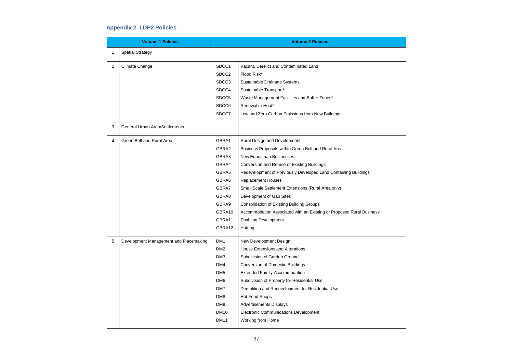

# **Appendix 2. LDP2 Policies**

|                | <b>Volume 1 Policies</b>               |                   | <b>Volume 2 Policies</b>                                             |
|----------------|----------------------------------------|-------------------|----------------------------------------------------------------------|
| 1              | <b>Spatial Strategy</b>                |                   |                                                                      |
| $\overline{2}$ | Climate Change                         | SDCC1             | Vacant, Derelict and Contaminated Land                               |
|                |                                        | SDCC <sub>2</sub> | Flood Risk*                                                          |
|                |                                        | SDCC <sub>3</sub> | Sustainable Drainage Systems                                         |
|                |                                        | SDCC4             | Sustainable Transport*                                               |
|                |                                        | SDCC5             | Waste Management Facilities and Buffer Zones*                        |
|                |                                        | SDCC6             | Renewable Heat*                                                      |
|                |                                        | SDCC7             | Low and Zero Carbon Emissions from New Buildings                     |
| 3              | <b>General Urban Area/Settlements</b>  |                   |                                                                      |
| 4              | Green Belt and Rural Area              | GBRA1             | Rural Design and Development                                         |
|                |                                        | GBRA2             | Business Proposals within Green Belt and Rural Area                  |
|                |                                        | GBRA3             | New Equestrian Businesses                                            |
|                |                                        | GBRA4             | Conversion and Re-use of Existing Buildings                          |
|                |                                        | GBRA5             | Redevelopment of Previously Developed Land Containing Buildings      |
|                |                                        | GBRA6             | <b>Replacement Houses</b>                                            |
|                |                                        | GBRA7             | Small Scale Settlement Extensions (Rural Area only)                  |
|                |                                        | GBRA8             | Development of Gap Sites                                             |
|                |                                        | GBRA9             | <b>Consolidation of Existing Building Groups</b>                     |
|                |                                        | GBRA10            | Accommodation Associated with an Existing or Proposed Rural Business |
|                |                                        | GBRA11            | <b>Enabling Development</b>                                          |
|                |                                        | GBRA12            | Hutting                                                              |
| 5              | Development Management and Placemaking | DM <sub>1</sub>   | New Development Design                                               |
|                |                                        | DM <sub>2</sub>   | <b>House Extensions and Alterations</b>                              |
|                |                                        | DM3               | Subdivision of Garden Ground                                         |
|                |                                        | DM4               | <b>Conversion of Domestic Buildings</b>                              |
|                |                                        | DM <sub>5</sub>   | <b>Extended Family Accommodation</b>                                 |
|                |                                        | DM <sub>6</sub>   | Subdivision of Property for Residential Use                          |
|                |                                        | DM7               | Demolition and Redevelopment for Residential Use                     |
|                |                                        | DM <sub>8</sub>   | Hot Food Shops                                                       |
|                |                                        | DM9               | <b>Advertisements Displays</b>                                       |
|                |                                        | <b>DM10</b>       | <b>Electronic Communications Development</b>                         |
|                |                                        | <b>DM11</b>       | Working from Home                                                    |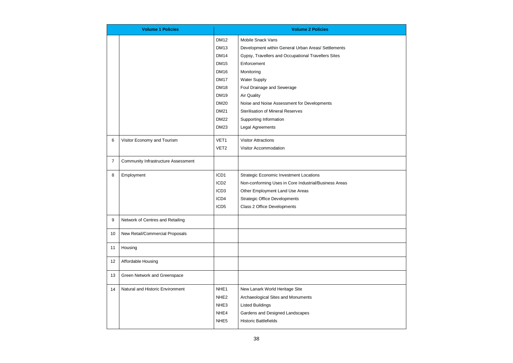

|                | <b>Volume 1 Policies</b>                   |                  | <b>Volume 2 Policies</b>                              |
|----------------|--------------------------------------------|------------------|-------------------------------------------------------|
|                |                                            | <b>DM12</b>      | <b>Mobile Snack Vans</b>                              |
|                |                                            | <b>DM13</b>      | Development within General Urban Areas/ Settlements   |
|                |                                            | <b>DM14</b>      | Gypsy, Travellers and Occupational Travellers Sites   |
|                |                                            | <b>DM15</b>      | Enforcement                                           |
|                |                                            | <b>DM16</b>      | Monitoring                                            |
|                |                                            | <b>DM17</b>      | <b>Water Supply</b>                                   |
|                |                                            | <b>DM18</b>      | Foul Drainage and Sewerage                            |
|                |                                            | <b>DM19</b>      | <b>Air Quality</b>                                    |
|                |                                            | <b>DM20</b>      | Noise and Noise Assessment for Developments           |
|                |                                            | <b>DM21</b>      | <b>Sterilisation of Mineral Reserves</b>              |
|                |                                            | <b>DM22</b>      | Supporting Information                                |
|                |                                            | <b>DM23</b>      | Legal Agreements                                      |
| 6              | Visitor Economy and Tourism                | VET <sub>1</sub> | <b>Visitor Attractions</b>                            |
|                |                                            | VET <sub>2</sub> | Visitor Accommodation                                 |
| $\overline{7}$ | <b>Community Infrastructure Assessment</b> |                  |                                                       |
| 8              | Employment                                 | ICD1             | <b>Strategic Economic Investment Locations</b>        |
|                |                                            | ICD <sub>2</sub> | Non-conforming Uses in Core Industrial/Business Areas |
|                |                                            | ICD <sub>3</sub> | Other Employment Land Use Areas                       |
|                |                                            | ICD4             | <b>Strategic Office Developments</b>                  |
|                |                                            | ICD <sub>5</sub> | Class 2 Office Developments                           |
| 9              | Network of Centres and Retailing           |                  |                                                       |
| 10             | New Retail/Commercial Proposals            |                  |                                                       |
| 11             | Housing                                    |                  |                                                       |
| 12             | Affordable Housing                         |                  |                                                       |
| 13             | Green Network and Greenspace               |                  |                                                       |
| 14             | Natural and Historic Environment           | NHE <sub>1</sub> | New Lanark World Heritage Site                        |
|                |                                            | NHE <sub>2</sub> | Archaeological Sites and Monuments                    |
|                |                                            | NHE <sub>3</sub> | <b>Listed Buildings</b>                               |
|                |                                            | NHE4             | Gardens and Designed Landscapes                       |
|                |                                            | NHE <sub>5</sub> | <b>Historic Battlefields</b>                          |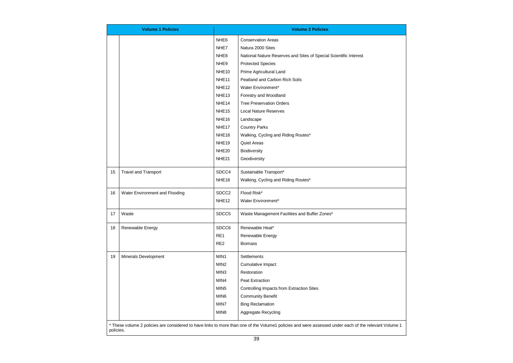

|    | <b>Volume 1 Policies</b>                                                                                                                                           |                   | <b>Volume 2 Policies</b>                                          |  |  |  |  |  |
|----|--------------------------------------------------------------------------------------------------------------------------------------------------------------------|-------------------|-------------------------------------------------------------------|--|--|--|--|--|
|    |                                                                                                                                                                    | NHE <sub>6</sub>  | <b>Conservation Areas</b>                                         |  |  |  |  |  |
|    |                                                                                                                                                                    | NHE7              | Natura 2000 Sites                                                 |  |  |  |  |  |
|    |                                                                                                                                                                    | NHE <sub>8</sub>  | National Nature Reserves and Sites of Special Scientific Interest |  |  |  |  |  |
|    |                                                                                                                                                                    | NHE9              | <b>Protected Species</b>                                          |  |  |  |  |  |
|    |                                                                                                                                                                    | NHE <sub>10</sub> | Prime Agricultural Land                                           |  |  |  |  |  |
|    |                                                                                                                                                                    | NHE <sub>11</sub> | Peatland and Carbon Rich Soils                                    |  |  |  |  |  |
|    |                                                                                                                                                                    | NHE <sub>12</sub> | Water Environment*                                                |  |  |  |  |  |
|    |                                                                                                                                                                    | NHE <sub>13</sub> | Forestry and Woodland                                             |  |  |  |  |  |
|    |                                                                                                                                                                    | NHE <sub>14</sub> | <b>Tree Preservation Orders</b>                                   |  |  |  |  |  |
|    |                                                                                                                                                                    | NHE <sub>15</sub> | <b>Local Nature Reserves</b>                                      |  |  |  |  |  |
|    |                                                                                                                                                                    | NHE <sub>16</sub> | Landscape                                                         |  |  |  |  |  |
|    |                                                                                                                                                                    | NHE <sub>17</sub> | <b>Country Parks</b>                                              |  |  |  |  |  |
|    |                                                                                                                                                                    | NHE <sub>18</sub> | Walking, Cycling and Riding Routes*                               |  |  |  |  |  |
|    |                                                                                                                                                                    | NHE <sub>19</sub> | <b>Quiet Areas</b>                                                |  |  |  |  |  |
|    |                                                                                                                                                                    | NHE <sub>20</sub> | Biodiversity                                                      |  |  |  |  |  |
|    |                                                                                                                                                                    | NHE <sub>21</sub> | Geodiversity                                                      |  |  |  |  |  |
| 15 | <b>Travel and Transport</b>                                                                                                                                        | SDCC4             | Sustainable Transport*                                            |  |  |  |  |  |
|    |                                                                                                                                                                    | NHE <sub>18</sub> | Walking, Cycling and Riding Routes*                               |  |  |  |  |  |
| 16 | Water Environment and Flooding                                                                                                                                     | SDCC <sub>2</sub> | Flood Risk*                                                       |  |  |  |  |  |
|    |                                                                                                                                                                    | NHE <sub>12</sub> | Water Environment*                                                |  |  |  |  |  |
| 17 | Waste                                                                                                                                                              | SDCC5             | Waste Management Facilities and Buffer Zones*                     |  |  |  |  |  |
| 18 | Renewable Energy                                                                                                                                                   | SDCC6             | Renewable Heat*                                                   |  |  |  |  |  |
|    |                                                                                                                                                                    | RE1               | Renewable Energy                                                  |  |  |  |  |  |
|    |                                                                                                                                                                    | RE <sub>2</sub>   | <b>Biomass</b>                                                    |  |  |  |  |  |
| 19 | <b>Minerals Development</b>                                                                                                                                        | MIN1              | Settlements                                                       |  |  |  |  |  |
|    |                                                                                                                                                                    | MIN <sub>2</sub>  | Cumulative Impact                                                 |  |  |  |  |  |
|    |                                                                                                                                                                    | MIN3              | Restoration                                                       |  |  |  |  |  |
|    |                                                                                                                                                                    | MIN4              | <b>Peat Extraction</b>                                            |  |  |  |  |  |
|    |                                                                                                                                                                    | MIN <sub>5</sub>  | Controlling Impacts from Extraction Sites                         |  |  |  |  |  |
|    |                                                                                                                                                                    | MIN6              | <b>Community Benefit</b>                                          |  |  |  |  |  |
|    |                                                                                                                                                                    | MIN7              | <b>Bing Reclamation</b>                                           |  |  |  |  |  |
|    |                                                                                                                                                                    | MIN8              | Aggregate Recycling                                               |  |  |  |  |  |
|    | * These volume 2 policies are considered to have links to more than one of the Volume1 policies and were assessed under each of the relevant Volume 1<br>policies. |                   |                                                                   |  |  |  |  |  |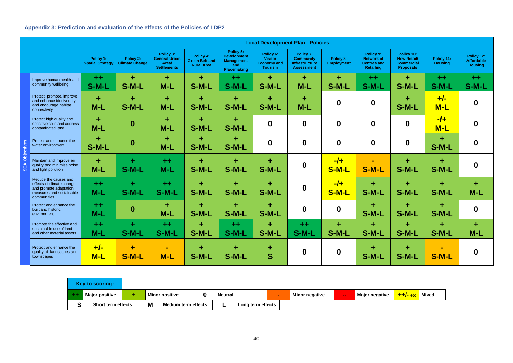# **Appendix 3: Prediction and evaluation of the effects of the Policies of LDP2**

|           |                                                                                                                         | <b>Local Development Plan - Policies</b> |                                    |                                                                  |                                                         |                                                                                   |                                                                     |                                                                      |                                |                                                                          |                                                                           |                              |                                                   |
|-----------|-------------------------------------------------------------------------------------------------------------------------|------------------------------------------|------------------------------------|------------------------------------------------------------------|---------------------------------------------------------|-----------------------------------------------------------------------------------|---------------------------------------------------------------------|----------------------------------------------------------------------|--------------------------------|--------------------------------------------------------------------------|---------------------------------------------------------------------------|------------------------------|---------------------------------------------------|
|           |                                                                                                                         | Policy 1:<br><b>Spatial Strategy</b>     | Policy 2:<br><b>Climate Change</b> | Policy 3:<br><b>General Urban</b><br>Area/<br><b>Settlements</b> | Policy 4:<br><b>Green Belt and</b><br><b>Rural Area</b> | Policy 5:<br><b>Development</b><br><b>Management</b><br>and<br><b>Placemaking</b> | Policy 6:<br><b>Visitor</b><br><b>Economy and</b><br><b>Tourism</b> | Policy 7:<br><b>Community</b><br>Infrastructure<br><b>Assessment</b> | Policy 8:<br><b>Employment</b> | Policy 9:<br><b>Network of</b><br><b>Centres and</b><br><b>Retailing</b> | Policy 10:<br><b>New Retail/</b><br><b>Commercial</b><br><b>Proposals</b> | Policy 11:<br><b>Housing</b> | Policy 12:<br><b>Affordable</b><br><b>Housing</b> |
|           | Improve human health and<br>community wellbeing                                                                         | $+ +$<br>S-M-L                           | ٠<br>S-M-L                         | ٠<br>$M-L$                                                       | ÷<br>S-M-L                                              | $+ +$<br>S-M-L                                                                    | ٠<br>S-M-L                                                          | ÷<br>$M-L$                                                           | ٠<br>S-M-L                     | $+ +$<br>S-M-L                                                           | ÷<br>S-M-L                                                                | $+ +$<br>S-M-L               | $+ +$<br>S-M-L                                    |
|           | Protect, promote, improve<br>and enhance biodiversity<br>and encourage habitat<br>connectivity                          | ٠<br>$M-L$                               | ٠<br>S-M-L                         | ÷<br>$M-L$                                                       | ÷<br>S-M-L                                              | ÷<br>S-M-L                                                                        | ٠<br>S-M-L                                                          | ÷<br>$M-L$                                                           | $\boldsymbol{0}$               | $\boldsymbol{0}$                                                         | ÷<br>S-M-L                                                                | $+/-$<br>$M-L$               | $\bf{0}$                                          |
|           | Protect high quality and<br>sensitive soils and address<br>contaminated land                                            | ÷<br>$M-L$                               | $\boldsymbol{0}$                   | ٠<br>$M-L$                                                       | ÷<br>S-M-L                                              | ÷<br>S-M-L                                                                        | $\boldsymbol{0}$                                                    | $\boldsymbol{0}$                                                     | $\boldsymbol{0}$               | $\boldsymbol{0}$                                                         | $\boldsymbol{0}$                                                          | $-1$<br>$M-L$                | $\bf{0}$                                          |
| Objective | Protect and enhance the<br>water environment                                                                            | ٠<br>S-M-L                               | $\bf{0}$                           | ٠<br>$M-L$                                                       | ÷<br>S-M-L                                              | ÷<br>S-M-L                                                                        | $\boldsymbol{0}$                                                    | $\mathbf 0$                                                          | $\boldsymbol{0}$               | $\boldsymbol{0}$                                                         | $\boldsymbol{0}$                                                          | ٠<br>S-M-L                   | $\bf{0}$                                          |
|           | Maintain and improve air<br>quality and minimise noise<br>and light pollution                                           | $\ddot{}$<br>$M-L$                       | ÷<br>S-M-L                         | $+ +$<br>$M-L$                                                   | ÷<br>S-M-L                                              | ٠<br>S-M-L                                                                        | ٠<br>S-M-L                                                          | $\boldsymbol{0}$                                                     | $-1$<br>S-M-L                  | S-M-L                                                                    | ÷<br>S-M-L                                                                | ÷<br>S-M-L                   | $\bf{0}$                                          |
|           | Reduce the causes and<br>effects of climate change<br>and promote adaptation<br>measures and sustainable<br>communities | $+ +$<br>$M-L$                           | ÷<br>S-M-L                         | $+ +$<br>S-M-L                                                   | ÷<br>S-M-L                                              | ÷<br>S-M-L                                                                        | ٠<br>S-M-L                                                          | $\boldsymbol{0}$                                                     | $-1$<br>S-M-L                  | ÷<br>S-M-L                                                               | ÷<br>S-M-L                                                                | ÷<br>S-M-L                   | ÷<br>$M-L$                                        |
|           | Protect and enhance the<br>built and historic<br>environment                                                            | $+ +$<br>$M-L$                           | $\boldsymbol{0}$                   | ٠<br>$M-L$                                                       | ÷<br>S-M-L                                              | ٠<br>S-M-L                                                                        | $\ddot{}$<br>S-M-L                                                  | $\boldsymbol{0}$                                                     | $\boldsymbol{0}$               | ÷<br>S-M-L                                                               | ÷<br>S-M-L                                                                | $\ddot{}$<br>S-M-L           | $\boldsymbol{0}$                                  |
|           | Promote the effective and<br>sustainable use of land<br>and other material assets                                       | $+ +$<br>$M-L$                           | ÷.<br>S-M-L                        | $+ +$<br>S-M-L                                                   | ٠<br>S-M-L                                              | $+ +$<br>S-M-L                                                                    | ٠<br>S-M-L                                                          | $+ +$<br>S-M-L                                                       | ÷<br>S-M-L                     | ٠<br>S-M-L                                                               | ٠<br>S-M-L                                                                | ٠<br>S-M-L                   | ÷.<br>$M-L$                                       |
|           | Protect and enhance the<br>quality of landscapes and<br>townscapes                                                      | $+/-$<br>$M-L$                           | ٠<br>$S-M-L$                       | $\blacksquare$<br>$M-L$                                          | ÷<br>S-M-L                                              | ٠<br>S-M-L                                                                        | ٠<br>S                                                              | $\boldsymbol{0}$                                                     | $\boldsymbol{0}$               | ٠<br>S-M-L                                                               | ÷<br>S-M-L                                                                | S-M-L                        | $\bf{0}$                                          |

|                                          | <b>Key to scoring:</b> |   |                       |   |                   |  |  |                       |              |                       |               |              |
|------------------------------------------|------------------------|---|-----------------------|---|-------------------|--|--|-----------------------|--------------|-----------------------|---------------|--------------|
|                                          | <b>Major positive</b>  |   | <b>Minor positive</b> |   | <b>Neutral</b>    |  |  | <b>Minor negative</b> | <b>COLOR</b> | <b>Major negative</b> | $+$ $+/-$ etc | <b>Mixed</b> |
| $\sim$<br><b>Short term effects</b><br>ν |                        | M | Medium term effects   | - | Long term effects |  |  |                       |              |                       |               |              |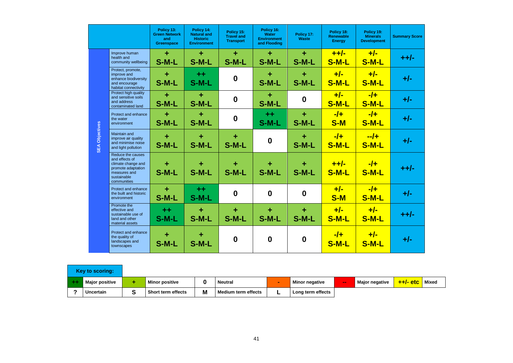|                       |                                                                                                                               | Policy 13:<br><b>Green Network</b><br>and<br><b>Greenspace</b> | Policy 14:<br><b>Natural and</b><br><b>Historic</b><br><b>Environment</b> | Policy 15:<br><b>Travel and</b><br><b>Transport</b> | Policy 16:<br><b>Water</b><br><b>Environment</b><br>and Flooding | Policy 17:<br><b>Waste</b> | Policy 18:<br><b>Renewable</b><br><b>Energy</b> | Policy 19:<br><b>Minerals</b><br><b>Development</b> |
|-----------------------|-------------------------------------------------------------------------------------------------------------------------------|----------------------------------------------------------------|---------------------------------------------------------------------------|-----------------------------------------------------|------------------------------------------------------------------|----------------------------|-------------------------------------------------|-----------------------------------------------------|
|                       | Improve human<br>health and<br>community wellbeing                                                                            | $\ddot{}$<br>S-M-L                                             | ÷<br>S-M-L                                                                | ÷<br>S-M-L                                          | ٠<br>S-M-L                                                       | ٠<br>S-M-L                 | $+ +/-$<br>S-M-L                                | $+/-$<br>S-M-L                                      |
|                       | Protect, promote,<br>improve and<br>enhance biodiversity<br>and encourage<br>habitat connectivity                             | $\ddot{}$<br>S-M-L                                             | $+ +$<br>S-M-L                                                            | $\boldsymbol{0}$                                    | $\ddot{}$<br>S-M-L                                               | ٠<br>S-M-L                 | $+/-$<br>S-M-L                                  | $+/-$<br>S-M-L                                      |
|                       | Protect high quality<br>and sensitive soils<br>and address<br>contaminated land                                               | $\ddot{}$<br>S-M-L                                             | $\ddot{\phantom{1}}$<br>S-M-L                                             | $\boldsymbol{0}$                                    | ÷<br>S-M-L                                                       | $\boldsymbol{0}$           | $+/-$<br>S-M-L                                  | $-1+$<br>S-M-L                                      |
|                       | Protect and enhance<br>the water<br>environment                                                                               | ÷<br>S-M-L                                                     | ÷<br>S-M-L                                                                | $\boldsymbol{0}$                                    | $+ +$<br>S-M-L                                                   | ÷<br>S-M-L                 | $-1+$<br><b>S-M</b>                             | $-1$<br>S-M-L                                       |
| <b>SEA Objectives</b> | Maintain and<br>improve air quality<br>and minimise noise<br>and light pollution                                              | $\ddot{}$<br>S-M-L                                             | ÷<br>S-M-L                                                                | ÷<br>S-M-L                                          | $\bf{0}$                                                         | ٠<br>S-M-L                 | $-1$<br>S-M-L                                   | $-4$<br>S-M-L                                       |
|                       | Reduce the causes<br>and effects of<br>climate change and<br>promote adaptation<br>measures and<br>sustainable<br>communities | ٠<br>S-M-L                                                     | ٠<br>S-M-L                                                                | ÷<br>S-M-L                                          | ٠<br>S-M-L                                                       | ٠<br>$S-M-L$               | $+ +/-$<br>$S-M-L$                              | $-1$<br>S-M-L                                       |
|                       | Protect and enhance<br>the built and historic<br>environment                                                                  | ÷<br>S-M-L                                                     | $+ +$<br>S-M-L                                                            | $\boldsymbol{0}$                                    | $\bf{0}$                                                         | $\boldsymbol{0}$           | $+/-$<br><b>S-M</b>                             | $-1$<br>S-M-L                                       |
|                       | Promote the<br>effective and<br>sustainable use of<br>land and other<br>material assets                                       | $^{\mathrm{+}}$<br>S-M-L                                       | ╋<br>S-M-L                                                                | ٠<br>S-M-L                                          | ٠<br>S-M-L                                                       | ٠<br>S-M-L                 | $+/-$<br><u>S-M-L</u>                           | $+/-$<br><u>S-M-L</u>                               |
|                       | Protect and enhance<br>the quality of<br>landscapes and<br>townscapes                                                         | ÷<br>S-M-L                                                     | ٠<br>S-M-L                                                                | $\boldsymbol{0}$                                    | $\boldsymbol{0}$                                                 | $\boldsymbol{0}$           | $-1$<br><b>S-M-L</b>                            | $+/-$<br>S-M-L                                      |



| <b>Key to scoring:</b> |                       |                           |   |                            |   |                       |              |                       |            |              |
|------------------------|-----------------------|---------------------------|---|----------------------------|---|-----------------------|--------------|-----------------------|------------|--------------|
|                        | <b>Major positive</b> | <b>Minor positive</b>     |   | <b>Neutral</b>             |   | <b>Minor negative</b> | <b>COLOR</b> | <b>Major negative</b> | $++/-$ etc | <b>Mixed</b> |
|                        | <b>Uncertain</b>      | <b>Short term effects</b> | M | <b>Medium term effects</b> | - | Long term effects     |              |                       |            |              |